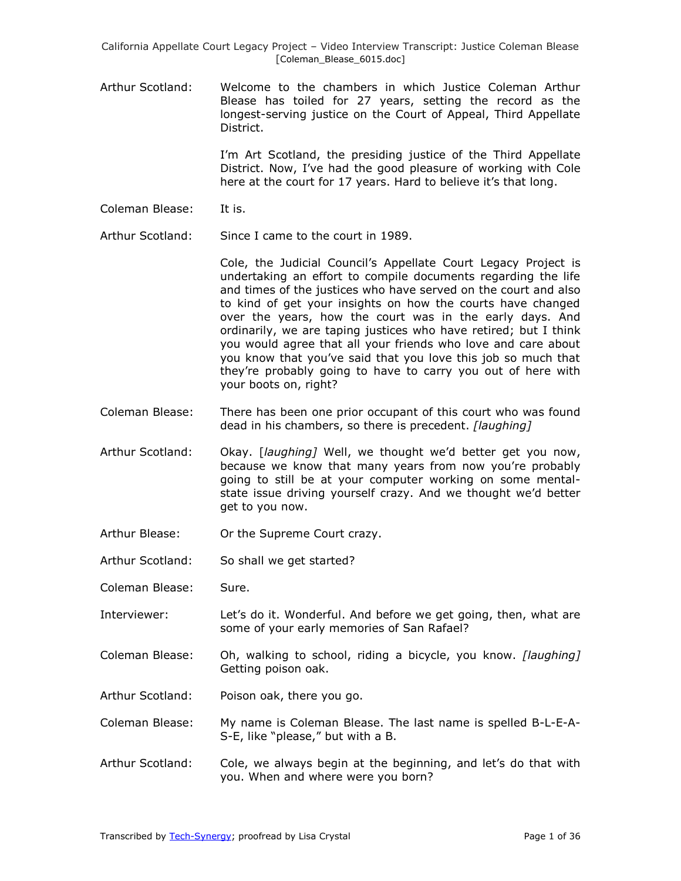Arthur Scotland: Welcome to the chambers in which Justice Coleman Arthur Blease has toiled for 27 years, setting the record as the longest-serving justice on the Court of Appeal, Third Appellate District.

> I'm Art Scotland, the presiding justice of the Third Appellate District. Now, I've had the good pleasure of working with Cole here at the court for 17 years. Hard to believe it's that long.

Coleman Blease: It is.

Arthur Scotland: Since I came to the court in 1989.

Cole, the Judicial Council's Appellate Court Legacy Project is undertaking an effort to compile documents regarding the life and times of the justices who have served on the court and also to kind of get your insights on how the courts have changed over the years, how the court was in the early days. And ordinarily, we are taping justices who have retired; but I think you would agree that all your friends who love and care about you know that you've said that you love this job so much that they're probably going to have to carry you out of here with your boots on, right?

- Coleman Blease: There has been one prior occupant of this court who was found dead in his chambers, so there is precedent. *[laughing]*
- Arthur Scotland: Okay. [*laughing]* Well, we thought we'd better get you now, because we know that many years from now you're probably going to still be at your computer working on some mentalstate issue driving yourself crazy. And we thought we'd better get to you now.
- Arthur Blease: Or the Supreme Court crazy.
- Arthur Scotland: So shall we get started?
- Coleman Blease: Sure.
- Interviewer: Let's do it. Wonderful. And before we get going, then, what are some of your early memories of San Rafael?
- Coleman Blease: Oh, walking to school, riding a bicycle, you know. *[laughing]* Getting poison oak.
- Arthur Scotland: Poison oak, there you go.

Coleman Blease: My name is Coleman Blease. The last name is spelled B-L-E-A-S-E, like "please," but with a B.

Arthur Scotland: Cole, we always begin at the beginning, and let's do that with you. When and where were you born?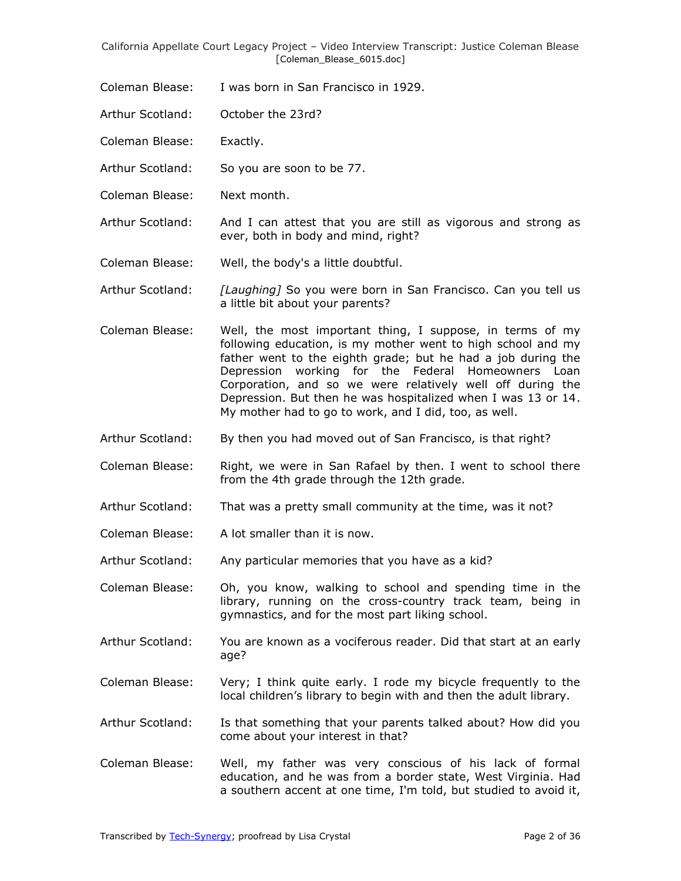- Coleman Blease: I was born in San Francisco in 1929.
- Arthur Scotland: October the 23rd?
- Coleman Blease: Exactly.
- Arthur Scotland: So you are soon to be 77.
- Coleman Blease: Next month.

Arthur Scotland: And I can attest that you are still as vigorous and strong as ever, both in body and mind, right?

- Coleman Blease: Well, the body's a little doubtful.
- Arthur Scotland: *[Laughing]* So you were born in San Francisco. Can you tell us a little bit about your parents?
- Coleman Blease: Well, the most important thing, I suppose, in terms of my following education, is my mother went to high school and my father went to the eighth grade; but he had a job during the Depression working for the Federal Homeowners Loan Corporation, and so we were relatively well off during the Depression. But then he was hospitalized when I was 13 or 14. My mother had to go to work, and I did, too, as well.
- Arthur Scotland: By then you had moved out of San Francisco, is that right?
- Coleman Blease: Right, we were in San Rafael by then. I went to school there from the 4th grade through the 12th grade.
- Arthur Scotland: That was a pretty small community at the time, was it not?
- Coleman Blease: A lot smaller than it is now.
- Arthur Scotland: Any particular memories that you have as a kid?
- Coleman Blease: Oh, you know, walking to school and spending time in the library, running on the cross-country track team, being in gymnastics, and for the most part liking school.
- Arthur Scotland: You are known as a vociferous reader. Did that start at an early age?
- Coleman Blease: Very; I think quite early. I rode my bicycle frequently to the local children's library to begin with and then the adult library.
- Arthur Scotland: Is that something that your parents talked about? How did you come about your interest in that?
- Coleman Blease: Well, my father was very conscious of his lack of formal education, and he was from a border state, West Virginia. Had a southern accent at one time, I'm told, but studied to avoid it,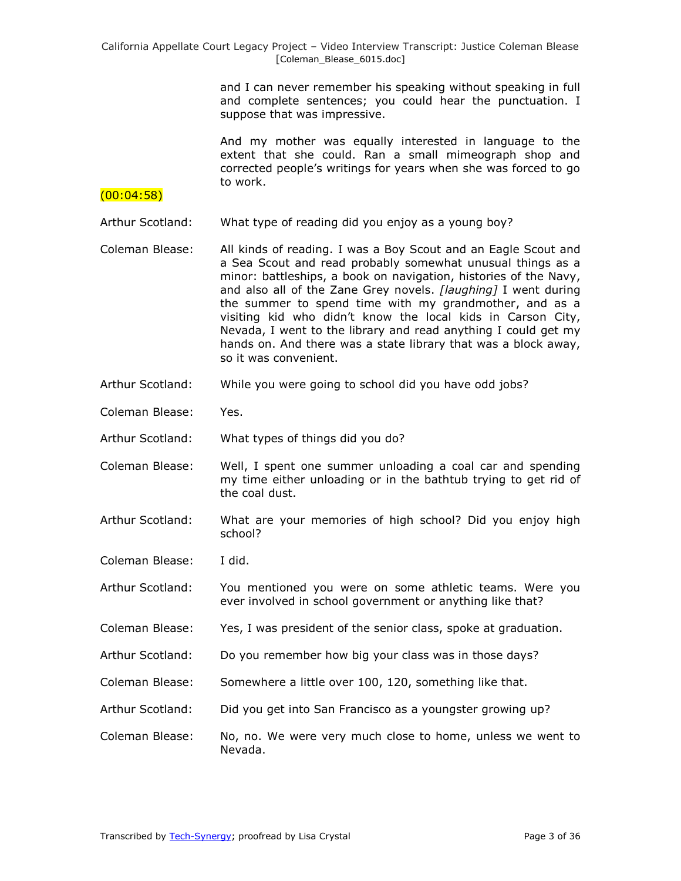> and I can never remember his speaking without speaking in full and complete sentences; you could hear the punctuation. I suppose that was impressive.

> And my mother was equally interested in language to the extent that she could. Ran a small mimeograph shop and corrected people's writings for years when she was forced to go to work.

### $(00:04:58)$

Arthur Scotland: What type of reading did you enjoy as a young boy?

- Coleman Blease: All kinds of reading. I was a Boy Scout and an Eagle Scout and a Sea Scout and read probably somewhat unusual things as a minor: battleships, a book on navigation, histories of the Navy, and also all of the Zane Grey novels. *[laughing]* I went during the summer to spend time with my grandmother, and as a visiting kid who didn't know the local kids in Carson City, Nevada, I went to the library and read anything I could get my hands on. And there was a state library that was a block away, so it was convenient.
- Arthur Scotland: While you were going to school did you have odd jobs?
- Coleman Blease: Yes.

Arthur Scotland: What types of things did you do?

- Coleman Blease: Well, I spent one summer unloading a coal car and spending my time either unloading or in the bathtub trying to get rid of the coal dust.
- Arthur Scotland: What are your memories of high school? Did you enjoy high school?
- Coleman Blease: I did.
- Arthur Scotland: You mentioned you were on some athletic teams. Were you ever involved in school government or anything like that?
- Coleman Blease: Yes, I was president of the senior class, spoke at graduation.
- Arthur Scotland: Do you remember how big your class was in those days?
- Coleman Blease: Somewhere a little over 100, 120, something like that.
- Arthur Scotland: Did you get into San Francisco as a youngster growing up?
- Coleman Blease: No, no. We were very much close to home, unless we went to Nevada.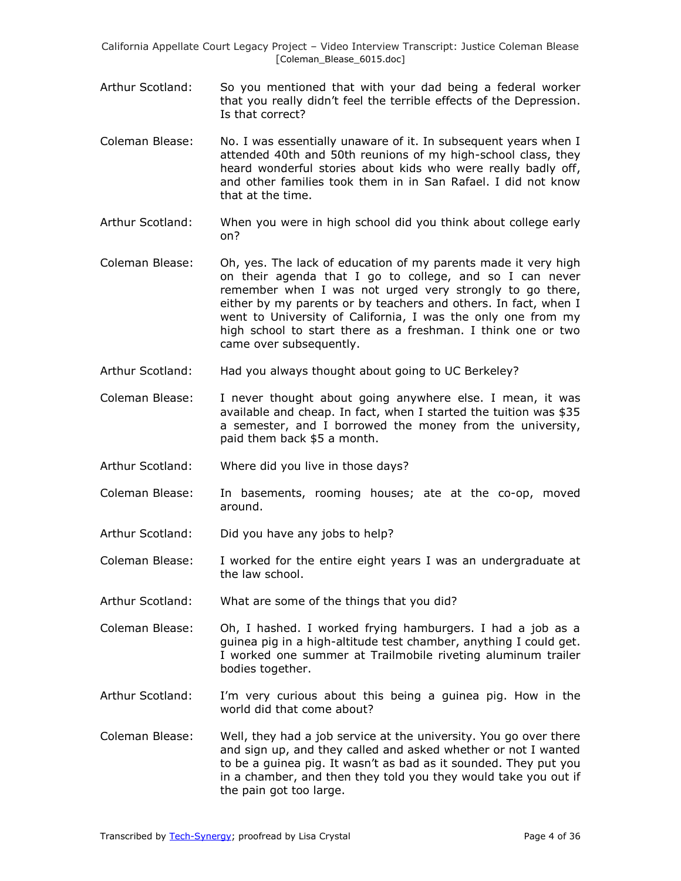- Arthur Scotland: So you mentioned that with your dad being a federal worker that you really didn't feel the terrible effects of the Depression. Is that correct?
- Coleman Blease: No. I was essentially unaware of it. In subsequent years when I attended 40th and 50th reunions of my high-school class, they heard wonderful stories about kids who were really badly off, and other families took them in in San Rafael. I did not know that at the time.
- Arthur Scotland: When you were in high school did you think about college early on?
- Coleman Blease: Oh, yes. The lack of education of my parents made it very high on their agenda that I go to college, and so I can never remember when I was not urged very strongly to go there, either by my parents or by teachers and others. In fact, when I went to University of California, I was the only one from my high school to start there as a freshman. I think one or two came over subsequently.
- Arthur Scotland: Had you always thought about going to UC Berkeley?
- Coleman Blease: I never thought about going anywhere else. I mean, it was available and cheap. In fact, when I started the tuition was \$35 a semester, and I borrowed the money from the university, paid them back \$5 a month.
- Arthur Scotland: Where did you live in those days?
- Coleman Blease: In basements, rooming houses; ate at the co-op, moved around.
- Arthur Scotland: Did you have any jobs to help?
- Coleman Blease: I worked for the entire eight years I was an undergraduate at the law school.
- Arthur Scotland: What are some of the things that you did?
- Coleman Blease: Oh, I hashed. I worked frying hamburgers. I had a job as a guinea pig in a high-altitude test chamber, anything I could get. I worked one summer at Trailmobile riveting aluminum trailer bodies together.
- Arthur Scotland: I'm very curious about this being a guinea pig. How in the world did that come about?
- Coleman Blease: Well, they had a job service at the university. You go over there and sign up, and they called and asked whether or not I wanted to be a guinea pig. It wasn't as bad as it sounded. They put you in a chamber, and then they told you they would take you out if the pain got too large.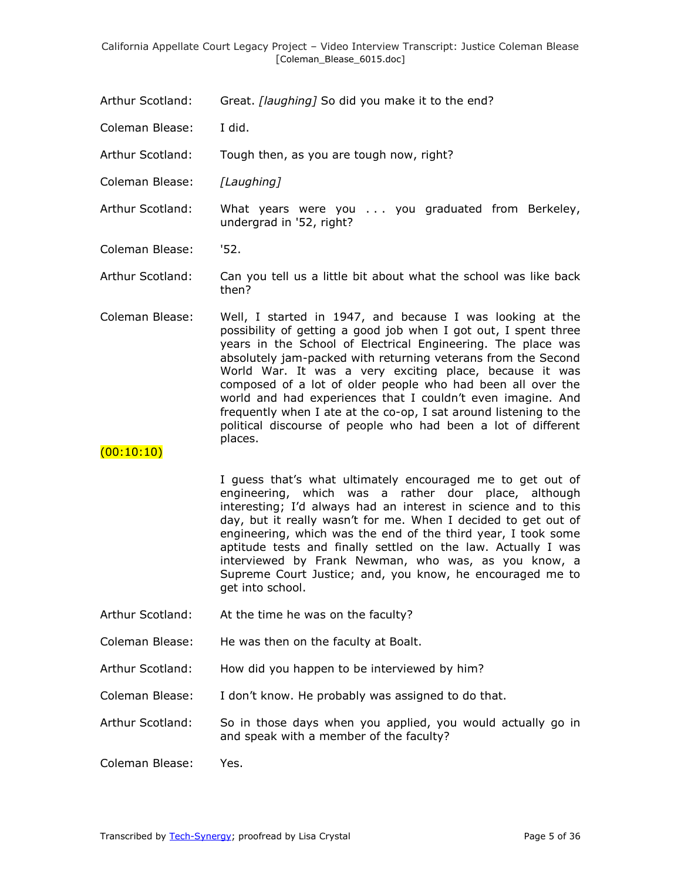- Arthur Scotland: Great. *[laughing]* So did you make it to the end?
- Coleman Blease: I did.

Arthur Scotland: Tough then, as you are tough now, right?

- Coleman Blease: *[Laughing]*
- Arthur Scotland: What years were you . . . you graduated from Berkeley, undergrad in '52, right?

Coleman Blease: '52.

Arthur Scotland: Can you tell us a little bit about what the school was like back then?

Coleman Blease: Well, I started in 1947, and because I was looking at the possibility of getting a good job when I got out, I spent three years in the School of Electrical Engineering. The place was absolutely jam-packed with returning veterans from the Second World War. It was a very exciting place, because it was composed of a lot of older people who had been all over the world and had experiences that I couldn't even imagine. And frequently when I ate at the co-op, I sat around listening to the political discourse of people who had been a lot of different places.

# $(00:10:10)$

I guess that's what ultimately encouraged me to get out of engineering, which was a rather dour place, although interesting; I'd always had an interest in science and to this day, but it really wasn't for me. When I decided to get out of engineering, which was the end of the third year, I took some aptitude tests and finally settled on the law. Actually I was interviewed by Frank Newman, who was, as you know, a Supreme Court Justice; and, you know, he encouraged me to get into school.

- Arthur Scotland: At the time he was on the faculty?
- Coleman Blease: He was then on the faculty at Boalt.
- Arthur Scotland: How did you happen to be interviewed by him?
- Coleman Blease: I don't know. He probably was assigned to do that.

Arthur Scotland: So in those days when you applied, you would actually go in and speak with a member of the faculty?

Coleman Blease: Yes.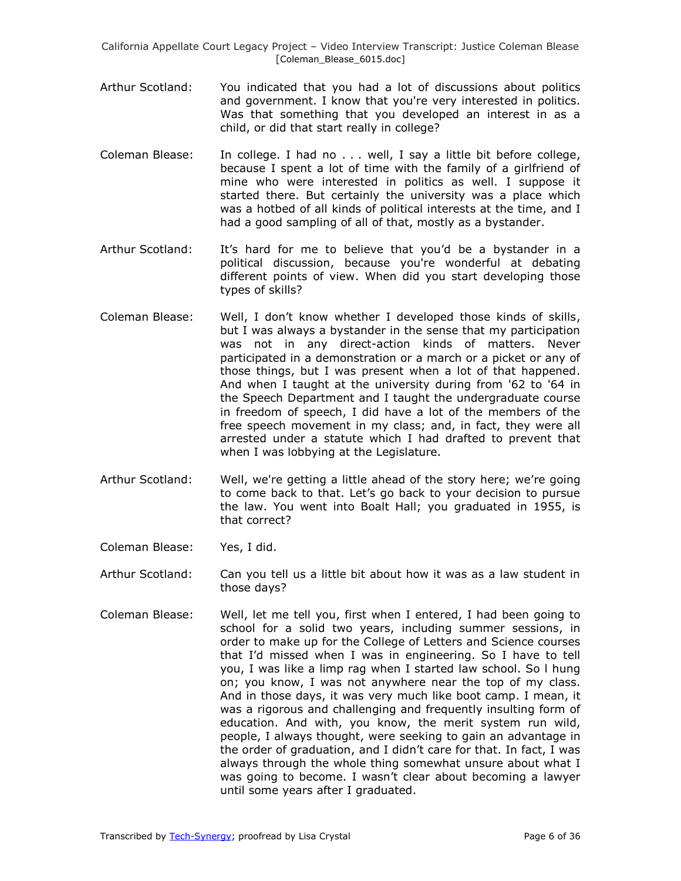- Arthur Scotland: You indicated that you had a lot of discussions about politics and government. I know that you're very interested in politics. Was that something that you developed an interest in as a child, or did that start really in college?
- Coleman Blease: In college. I had no . . . well, I say a little bit before college, because I spent a lot of time with the family of a girlfriend of mine who were interested in politics as well. I suppose it started there. But certainly the university was a place which was a hotbed of all kinds of political interests at the time, and I had a good sampling of all of that, mostly as a bystander.
- Arthur Scotland: It's hard for me to believe that you'd be a bystander in a political discussion, because you're wonderful at debating different points of view. When did you start developing those types of skills?
- Coleman Blease: Well, I don't know whether I developed those kinds of skills, but I was always a bystander in the sense that my participation was not in any direct-action kinds of matters. Never participated in a demonstration or a march or a picket or any of those things, but I was present when a lot of that happened. And when I taught at the university during from '62 to '64 in the Speech Department and I taught the undergraduate course in freedom of speech, I did have a lot of the members of the free speech movement in my class; and, in fact, they were all arrested under a statute which I had drafted to prevent that when I was lobbying at the Legislature.
- Arthur Scotland: Well, we're getting a little ahead of the story here; we're going to come back to that. Let's go back to your decision to pursue the law. You went into Boalt Hall; you graduated in 1955, is that correct?
- Coleman Blease: Yes, I did.

Arthur Scotland: Can you tell us a little bit about how it was as a law student in those days?

Coleman Blease: Well, let me tell you, first when I entered, I had been going to school for a solid two years, including summer sessions, in order to make up for the College of Letters and Science courses that I'd missed when I was in engineering. So I have to tell you, I was like a limp rag when I started law school. So l hung on; you know, I was not anywhere near the top of my class. And in those days, it was very much like boot camp. I mean, it was a rigorous and challenging and frequently insulting form of education. And with, you know, the merit system run wild, people, I always thought, were seeking to gain an advantage in the order of graduation, and I didn't care for that. In fact, I was always through the whole thing somewhat unsure about what I was going to become. I wasn't clear about becoming a lawyer until some years after I graduated.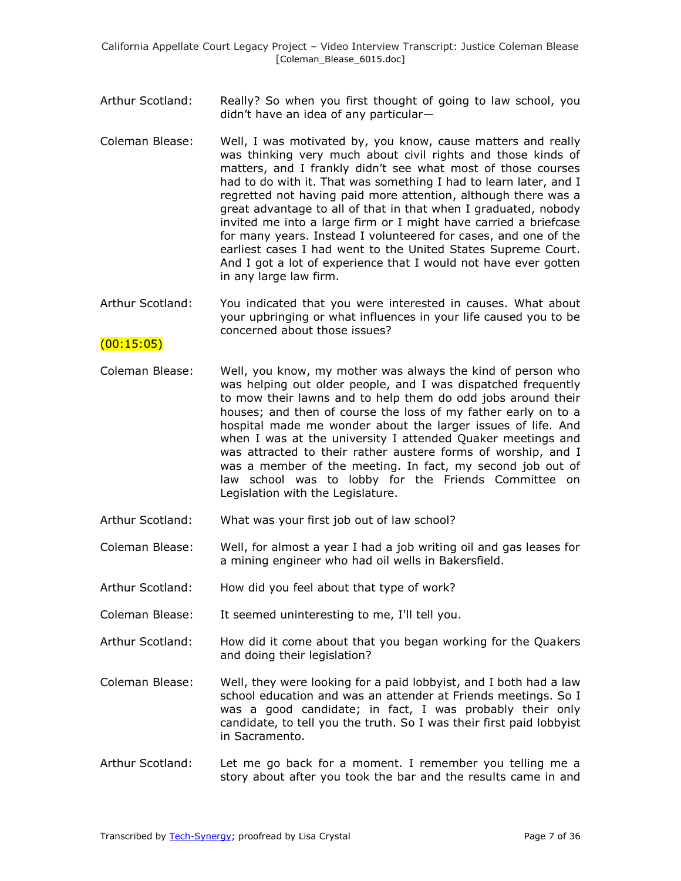- Arthur Scotland: Really? So when you first thought of going to law school, you didn't have an idea of any particular—
- Coleman Blease: Well, I was motivated by, you know, cause matters and really was thinking very much about civil rights and those kinds of matters, and I frankly didn't see what most of those courses had to do with it. That was something I had to learn later, and I regretted not having paid more attention, although there was a great advantage to all of that in that when I graduated, nobody invited me into a large firm or I might have carried a briefcase for many years. Instead I volunteered for cases, and one of the earliest cases I had went to the United States Supreme Court. And I got a lot of experience that I would not have ever gotten in any large law firm.
- Arthur Scotland: You indicated that you were interested in causes. What about your upbringing or what influences in your life caused you to be concerned about those issues?

# $(00:15:05)$

- Coleman Blease: Well, you know, my mother was always the kind of person who was helping out older people, and I was dispatched frequently to mow their lawns and to help them do odd jobs around their houses; and then of course the loss of my father early on to a hospital made me wonder about the larger issues of life. And when I was at the university I attended Quaker meetings and was attracted to their rather austere forms of worship, and I was a member of the meeting. In fact, my second job out of law school was to lobby for the Friends Committee on Legislation with the Legislature.
- Arthur Scotland: What was your first job out of law school?
- Coleman Blease: Well, for almost a year I had a job writing oil and gas leases for a mining engineer who had oil wells in Bakersfield.
- Arthur Scotland: How did you feel about that type of work?
- Coleman Blease: It seemed uninteresting to me, I'll tell you.
- Arthur Scotland: How did it come about that you began working for the Quakers and doing their legislation?
- Coleman Blease: Well, they were looking for a paid lobbyist, and I both had a law school education and was an attender at Friends meetings. So I was a good candidate; in fact, I was probably their only candidate, to tell you the truth. So I was their first paid lobbyist in Sacramento.
- Arthur Scotland: Let me go back for a moment. I remember you telling me a story about after you took the bar and the results came in and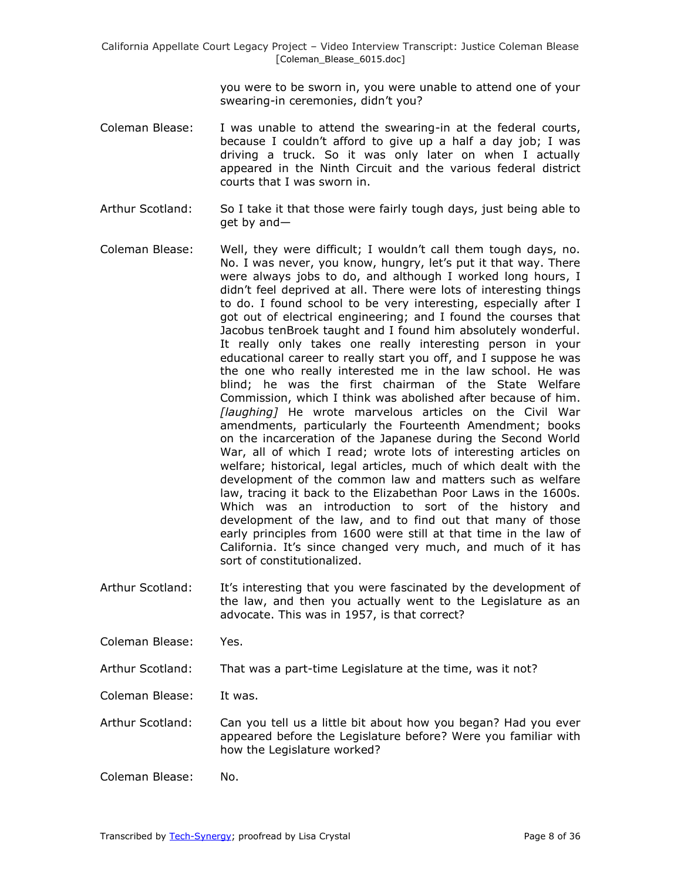you were to be sworn in, you were unable to attend one of your swearing-in ceremonies, didn't you?

- Coleman Blease: I was unable to attend the swearing-in at the federal courts, because I couldn't afford to give up a half a day job; I was driving a truck. So it was only later on when I actually appeared in the Ninth Circuit and the various federal district courts that I was sworn in.
- Arthur Scotland: So I take it that those were fairly tough days, just being able to get by and—
- Coleman Blease: Well, they were difficult; I wouldn't call them tough days, no. No. I was never, you know, hungry, let's put it that way. There were always jobs to do, and although I worked long hours, I didn't feel deprived at all. There were lots of interesting things to do. I found school to be very interesting, especially after I got out of electrical engineering; and I found the courses that Jacobus tenBroek taught and I found him absolutely wonderful. It really only takes one really interesting person in your educational career to really start you off, and I suppose he was the one who really interested me in the law school. He was blind; he was the first chairman of the State Welfare Commission, which I think was abolished after because of him. *[laughing]* He wrote marvelous articles on the Civil War amendments, particularly the Fourteenth Amendment; books on the incarceration of the Japanese during the Second World War, all of which I read; wrote lots of interesting articles on welfare; historical, legal articles, much of which dealt with the development of the common law and matters such as welfare law, tracing it back to the Elizabethan Poor Laws in the 1600s. Which was an introduction to sort of the history and development of the law, and to find out that many of those early principles from 1600 were still at that time in the law of California. It's since changed very much, and much of it has sort of constitutionalized.
- Arthur Scotland: It's interesting that you were fascinated by the development of the law, and then you actually went to the Legislature as an advocate. This was in 1957, is that correct?

Coleman Blease: Yes.

Arthur Scotland: That was a part-time Legislature at the time, was it not?

Coleman Blease: It was.

- Arthur Scotland: Can you tell us a little bit about how you began? Had you ever appeared before the Legislature before? Were you familiar with how the Legislature worked?
- Coleman Blease: No.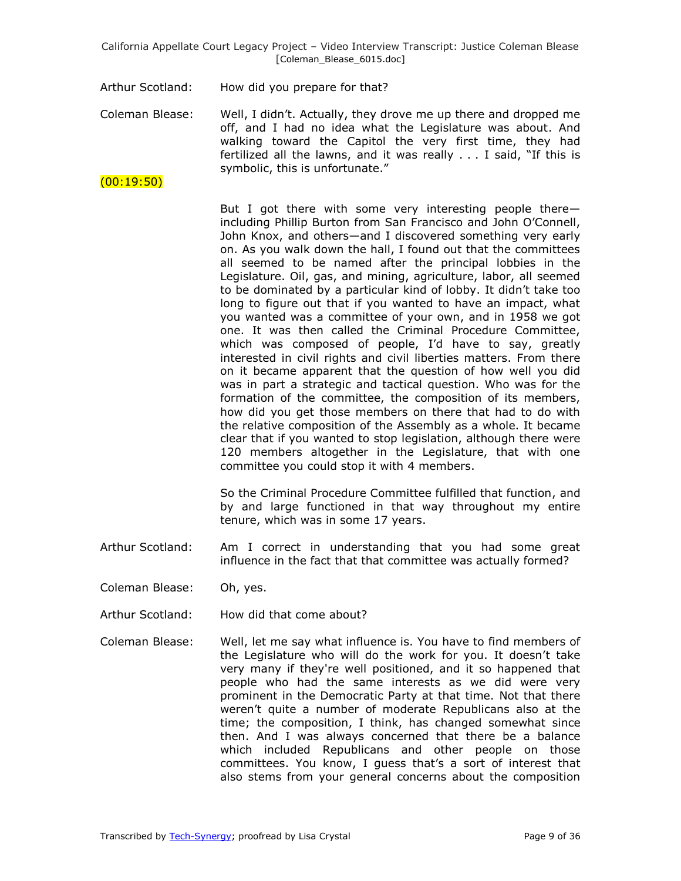Arthur Scotland: How did you prepare for that?

Coleman Blease: Well, I didn't. Actually, they drove me up there and dropped me off, and I had no idea what the Legislature was about. And walking toward the Capitol the very first time, they had fertilized all the lawns, and it was really  $\ldots$  I said, "If this is symbolic, this is unfortunate."

(00:19:50)

But I got there with some very interesting people there including Phillip Burton from San Francisco and John O'Connell, John Knox, and others—and I discovered something very early on. As you walk down the hall, I found out that the committees all seemed to be named after the principal lobbies in the Legislature. Oil, gas, and mining, agriculture, labor, all seemed to be dominated by a particular kind of lobby. It didn't take too long to figure out that if you wanted to have an impact, what you wanted was a committee of your own, and in 1958 we got one. It was then called the Criminal Procedure Committee, which was composed of people, I'd have to say, greatly interested in civil rights and civil liberties matters. From there on it became apparent that the question of how well you did was in part a strategic and tactical question. Who was for the formation of the committee, the composition of its members, how did you get those members on there that had to do with the relative composition of the Assembly as a whole. It became clear that if you wanted to stop legislation, although there were 120 members altogether in the Legislature, that with one committee you could stop it with 4 members.

So the Criminal Procedure Committee fulfilled that function, and by and large functioned in that way throughout my entire tenure, which was in some 17 years.

- Arthur Scotland: Am I correct in understanding that you had some great influence in the fact that that committee was actually formed?
- Coleman Blease: Oh, yes.
- Arthur Scotland: How did that come about?
- Coleman Blease: Well, let me say what influence is. You have to find members of the Legislature who will do the work for you. It doesn't take very many if they're well positioned, and it so happened that people who had the same interests as we did were very prominent in the Democratic Party at that time. Not that there weren't quite a number of moderate Republicans also at the time; the composition, I think, has changed somewhat since then. And I was always concerned that there be a balance which included Republicans and other people on those committees. You know, I guess that's a sort of interest that also stems from your general concerns about the composition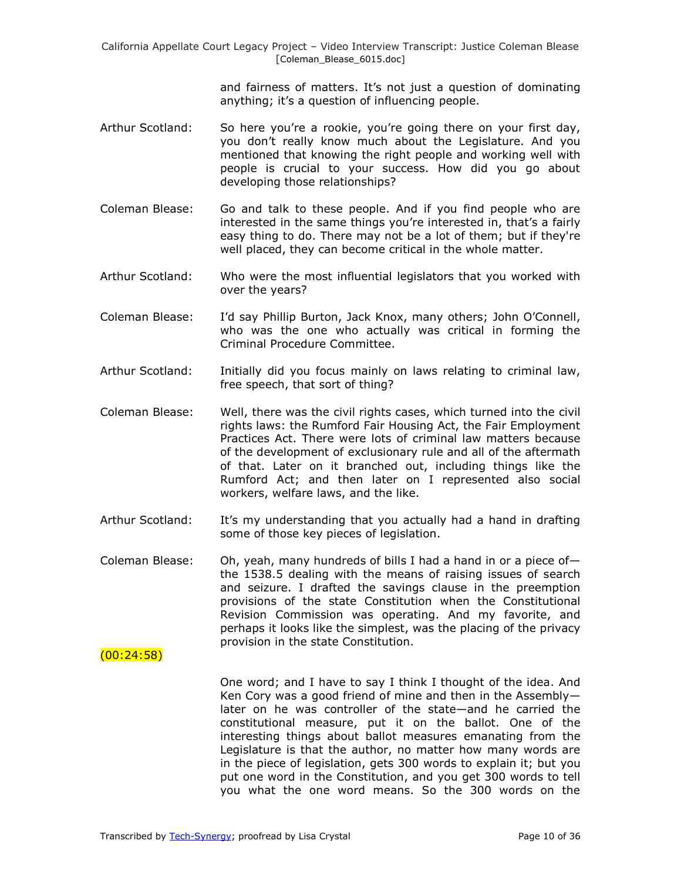> and fairness of matters. It's not just a question of dominating anything; it's a question of influencing people.

- Arthur Scotland: So here you're a rookie, you're going there on your first day, you don't really know much about the Legislature. And you mentioned that knowing the right people and working well with people is crucial to your success. How did you go about developing those relationships?
- Coleman Blease: Go and talk to these people. And if you find people who are interested in the same things you're interested in, that's a fairly easy thing to do. There may not be a lot of them; but if they're well placed, they can become critical in the whole matter.
- Arthur Scotland: Who were the most influential legislators that you worked with over the years?
- Coleman Blease: I'd say Phillip Burton, Jack Knox, many others; John O'Connell, who was the one who actually was critical in forming the Criminal Procedure Committee.
- Arthur Scotland: Initially did you focus mainly on laws relating to criminal law, free speech, that sort of thing?
- Coleman Blease: Well, there was the civil rights cases, which turned into the civil rights laws: the Rumford Fair Housing Act, the Fair Employment Practices Act. There were lots of criminal law matters because of the development of exclusionary rule and all of the aftermath of that. Later on it branched out, including things like the Rumford Act; and then later on I represented also social workers, welfare laws, and the like.
- Arthur Scotland: It's my understanding that you actually had a hand in drafting some of those key pieces of legislation.
- Coleman Blease: Oh, yeah, many hundreds of bills I had a hand in or a piece ofthe 1538.5 dealing with the means of raising issues of search and seizure. I drafted the savings clause in the preemption provisions of the state Constitution when the Constitutional Revision Commission was operating. And my favorite, and perhaps it looks like the simplest, was the placing of the privacy provision in the state Constitution.

 $(00:24:58)$ 

One word; and I have to say I think I thought of the idea. And Ken Cory was a good friend of mine and then in the Assembly later on he was controller of the state—and he carried the constitutional measure, put it on the ballot. One of the interesting things about ballot measures emanating from the Legislature is that the author, no matter how many words are in the piece of legislation, gets 300 words to explain it; but you put one word in the Constitution, and you get 300 words to tell you what the one word means. So the 300 words on the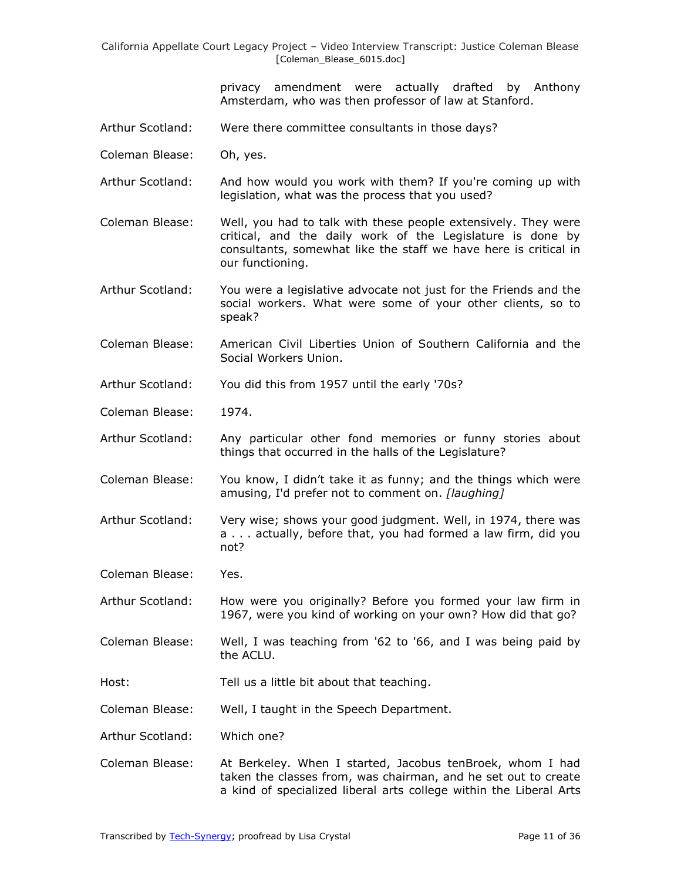> privacy amendment were actually drafted by Anthony Amsterdam, who was then professor of law at Stanford.

- Arthur Scotland: Were there committee consultants in those days?
- Coleman Blease: Oh, yes.
- Arthur Scotland: And how would you work with them? If you're coming up with legislation, what was the process that you used?
- Coleman Blease: Well, you had to talk with these people extensively. They were critical, and the daily work of the Legislature is done by consultants, somewhat like the staff we have here is critical in our functioning.
- Arthur Scotland: You were a legislative advocate not just for the Friends and the social workers. What were some of your other clients, so to speak?
- Coleman Blease: American Civil Liberties Union of Southern California and the Social Workers Union.
- Arthur Scotland: You did this from 1957 until the early '70s?
- Coleman Blease: 1974.
- Arthur Scotland: Any particular other fond memories or funny stories about things that occurred in the halls of the Legislature?
- Coleman Blease: You know, I didn't take it as funny; and the things which were amusing, I'd prefer not to comment on. *[laughing]*
- Arthur Scotland: Very wise; shows your good judgment. Well, in 1974, there was a . . . actually, before that, you had formed a law firm, did you not?
- Coleman Blease: Yes.
- Arthur Scotland: How were you originally? Before you formed your law firm in 1967, were you kind of working on your own? How did that go?
- Coleman Blease: Well, I was teaching from '62 to '66, and I was being paid by the ACLU.
- Host: Tell us a little bit about that teaching.
- Coleman Blease: Well, I taught in the Speech Department.
- Arthur Scotland: Which one?
- Coleman Blease: At Berkeley. When I started, Jacobus tenBroek, whom I had taken the classes from, was chairman, and he set out to create a kind of specialized liberal arts college within the Liberal Arts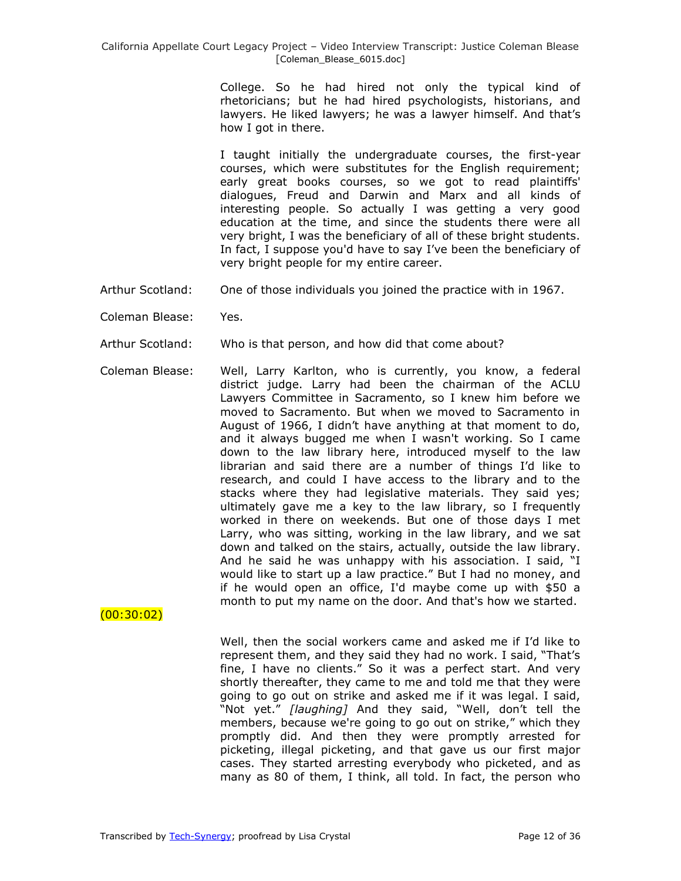College. So he had hired not only the typical kind of rhetoricians; but he had hired psychologists, historians, and lawyers. He liked lawyers; he was a lawyer himself. And that's how I got in there.

I taught initially the undergraduate courses, the first-year courses, which were substitutes for the English requirement; early great books courses, so we got to read plaintiffs' dialogues, Freud and Darwin and Marx and all kinds of interesting people. So actually I was getting a very good education at the time, and since the students there were all very bright, I was the beneficiary of all of these bright students. In fact, I suppose you'd have to say I've been the beneficiary of very bright people for my entire career.

- Arthur Scotland: One of those individuals you joined the practice with in 1967.
- Coleman Blease: Yes.
- Arthur Scotland: Who is that person, and how did that come about?
- Coleman Blease: Well, Larry Karlton, who is currently, you know, a federal district judge. Larry had been the chairman of the ACLU Lawyers Committee in Sacramento, so I knew him before we moved to Sacramento. But when we moved to Sacramento in August of 1966, I didn't have anything at that moment to do, and it always bugged me when I wasn't working. So I came down to the law library here, introduced myself to the law librarian and said there are a number of things I'd like to research, and could I have access to the library and to the stacks where they had legislative materials. They said yes; ultimately gave me a key to the law library, so I frequently worked in there on weekends. But one of those days I met Larry, who was sitting, working in the law library, and we sat down and talked on the stairs, actually, outside the law library. And he said he was unhappy with his association. I said, "I would like to start up a law practice." But I had no money, and if he would open an office, I'd maybe come up with \$50 a month to put my name on the door. And that's how we started.

# $(00:30:02)$

Well, then the social workers came and asked me if I'd like to represent them, and they said they had no work. I said, "That's fine, I have no clients." So it was a perfect start. And very shortly thereafter, they came to me and told me that they were going to go out on strike and asked me if it was legal. I said, "Not yet." [laughing] And they said, "Well, don't tell the members, because we're going to go out on strike," which they promptly did. And then they were promptly arrested for picketing, illegal picketing, and that gave us our first major cases. They started arresting everybody who picketed, and as many as 80 of them, I think, all told. In fact, the person who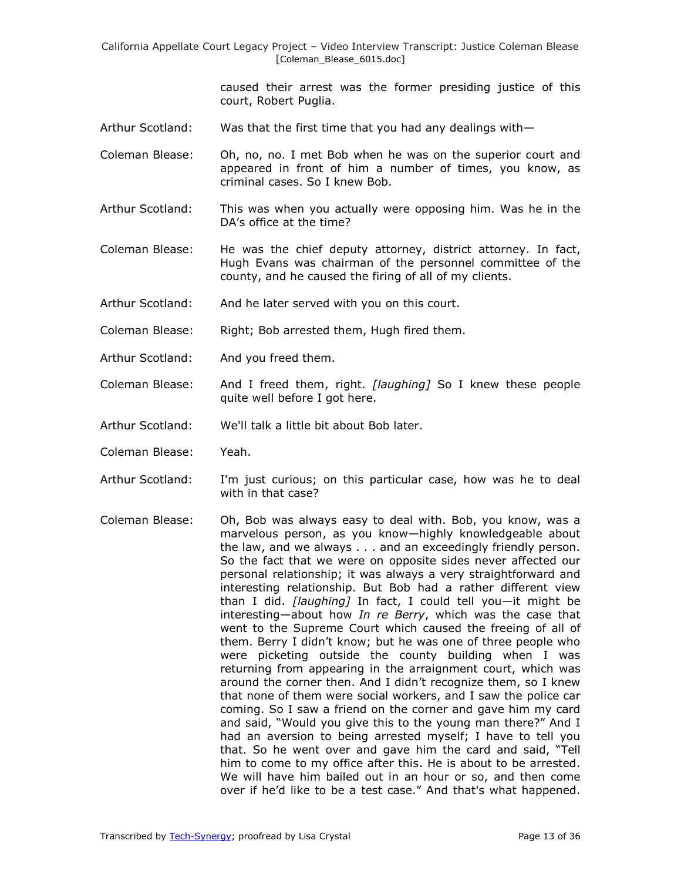> caused their arrest was the former presiding justice of this court, Robert Puglia.

- Arthur Scotland: Was that the first time that you had any dealings with—
- Coleman Blease: Oh, no, no. I met Bob when he was on the superior court and appeared in front of him a number of times, you know, as criminal cases. So I knew Bob.
- Arthur Scotland: This was when you actually were opposing him. Was he in the DA's office at the time?
- Coleman Blease: He was the chief deputy attorney, district attorney. In fact, Hugh Evans was chairman of the personnel committee of the county, and he caused the firing of all of my clients.
- Arthur Scotland: And he later served with you on this court.
- Coleman Blease: Right; Bob arrested them, Hugh fired them.
- Arthur Scotland: And you freed them.
- Coleman Blease: And I freed them, right. *[laughing]* So I knew these people quite well before I got here.
- Arthur Scotland: We'll talk a little bit about Bob later.
- Coleman Blease: Yeah.
- Arthur Scotland: I'm just curious; on this particular case, how was he to deal with in that case?
- Coleman Blease: Oh, Bob was always easy to deal with. Bob, you know, was a marvelous person, as you know—highly knowledgeable about the law, and we always . . . and an exceedingly friendly person. So the fact that we were on opposite sides never affected our personal relationship; it was always a very straightforward and interesting relationship. But Bob had a rather different view than I did. *[laughing]* In fact, I could tell you—it might be interesting—about how *In re Berry*, which was the case that went to the Supreme Court which caused the freeing of all of them. Berry I didn't know; but he was one of three people who were picketing outside the county building when I was returning from appearing in the arraignment court, which was around the corner then. And I didn't recognize them, so I knew that none of them were social workers, and I saw the police car coming. So I saw a friend on the corner and gave him my card and said, "Would you give this to the young man there?" And I had an aversion to being arrested myself; I have to tell you that. So he went over and gave him the card and said, "Tell him to come to my office after this. He is about to be arrested. We will have him bailed out in an hour or so, and then come over if he'd like to be a test case." And that's what happened.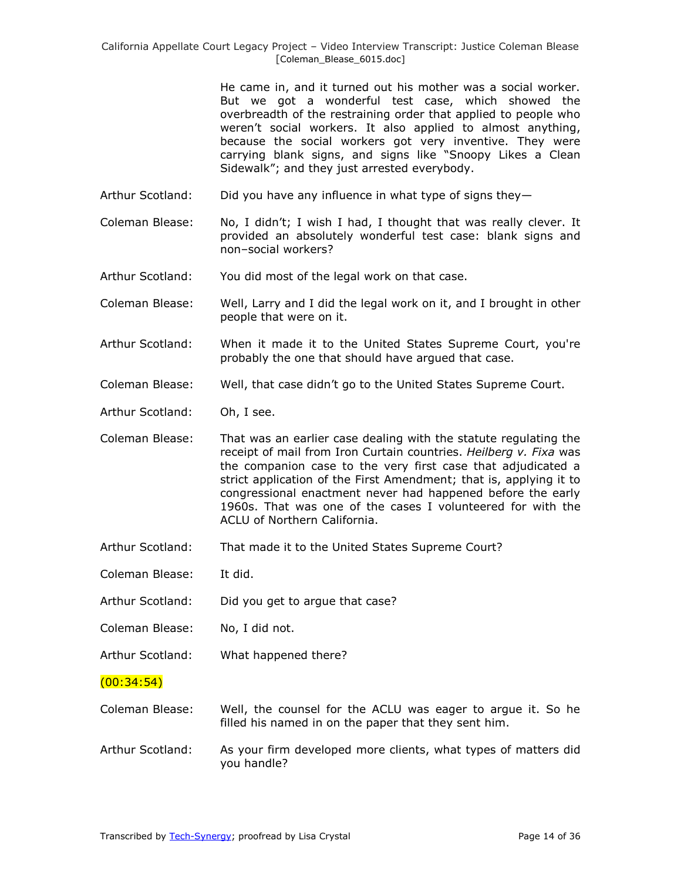He came in, and it turned out his mother was a social worker. But we got a wonderful test case, which showed the overbreadth of the restraining order that applied to people who weren't social workers. It also applied to almost anything, because the social workers got very inventive. They were carrying blank signs, and signs like "Snoopy Likes a Clean Sidewalk"; and they just arrested everybody.

- Arthur Scotland: Did you have any influence in what type of signs they-
- Coleman Blease: No, I didn't; I wish I had, I thought that was really clever. It provided an absolutely wonderful test case: blank signs and non–social workers?
- Arthur Scotland: You did most of the legal work on that case.
- Coleman Blease: Well, Larry and I did the legal work on it, and I brought in other people that were on it.
- Arthur Scotland: When it made it to the United States Supreme Court, you're probably the one that should have argued that case.
- Coleman Blease: Well, that case didn't go to the United States Supreme Court.
- Arthur Scotland: Oh, I see.
- Coleman Blease: That was an earlier case dealing with the statute regulating the receipt of mail from Iron Curtain countries. *Heilberg v. Fixa* was the companion case to the very first case that adjudicated a strict application of the First Amendment; that is, applying it to congressional enactment never had happened before the early 1960s. That was one of the cases I volunteered for with the ACLU of Northern California.
- Arthur Scotland: That made it to the United States Supreme Court?
- Coleman Blease: It did.
- Arthur Scotland: Did you get to argue that case?
- Coleman Blease: No, I did not.
- Arthur Scotland: What happened there?

 $(00:34:54)$ 

- Coleman Blease: Well, the counsel for the ACLU was eager to argue it. So he filled his named in on the paper that they sent him.
- Arthur Scotland: As your firm developed more clients, what types of matters did you handle?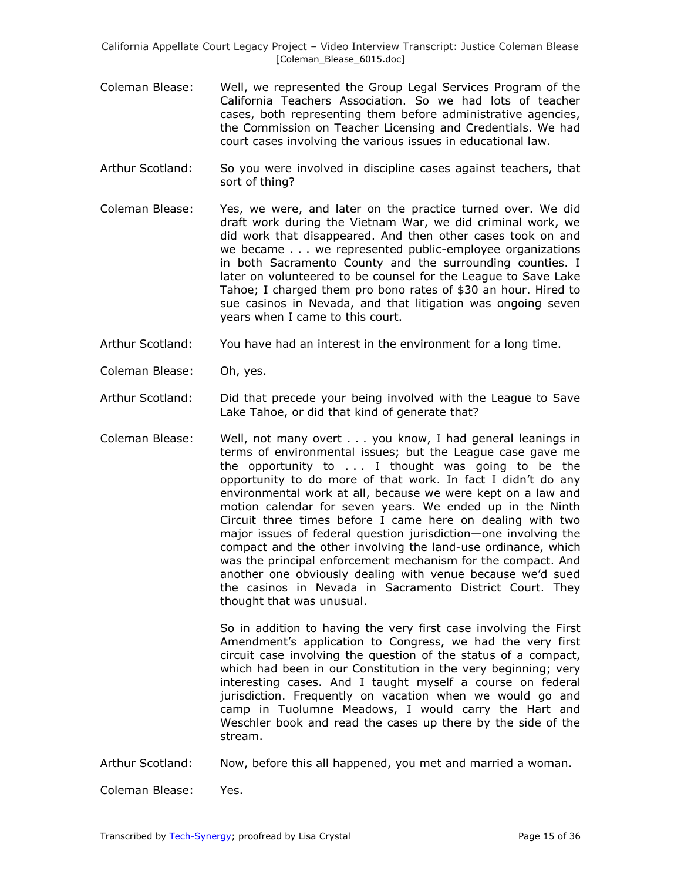- Coleman Blease: Well, we represented the Group Legal Services Program of the California Teachers Association. So we had lots of teacher cases, both representing them before administrative agencies, the Commission on Teacher Licensing and Credentials. We had court cases involving the various issues in educational law.
- Arthur Scotland: So you were involved in discipline cases against teachers, that sort of thing?
- Coleman Blease: Yes, we were, and later on the practice turned over. We did draft work during the Vietnam War, we did criminal work, we did work that disappeared. And then other cases took on and we became . . . we represented public-employee organizations in both Sacramento County and the surrounding counties. I later on volunteered to be counsel for the League to Save Lake Tahoe; I charged them pro bono rates of \$30 an hour. Hired to sue casinos in Nevada, and that litigation was ongoing seven years when I came to this court.
- Arthur Scotland: You have had an interest in the environment for a long time.
- Coleman Blease: Oh, yes.
- Arthur Scotland: Did that precede your being involved with the League to Save Lake Tahoe, or did that kind of generate that?
- Coleman Blease: Well, not many overt . . . you know, I had general leanings in terms of environmental issues; but the League case gave me the opportunity to . . . I thought was going to be the opportunity to do more of that work. In fact I didn't do any environmental work at all, because we were kept on a law and motion calendar for seven years. We ended up in the Ninth Circuit three times before I came here on dealing with two major issues of federal question jurisdiction—one involving the compact and the other involving the land-use ordinance, which was the principal enforcement mechanism for the compact. And another one obviously dealing with venue because we'd sued the casinos in Nevada in Sacramento District Court. They thought that was unusual.

So in addition to having the very first case involving the First Amendment's application to Congress, we had the very first circuit case involving the question of the status of a compact, which had been in our Constitution in the very beginning; very interesting cases. And I taught myself a course on federal jurisdiction. Frequently on vacation when we would go and camp in Tuolumne Meadows, I would carry the Hart and Weschler book and read the cases up there by the side of the stream.

Arthur Scotland: Now, before this all happened, you met and married a woman.

Coleman Blease: Yes.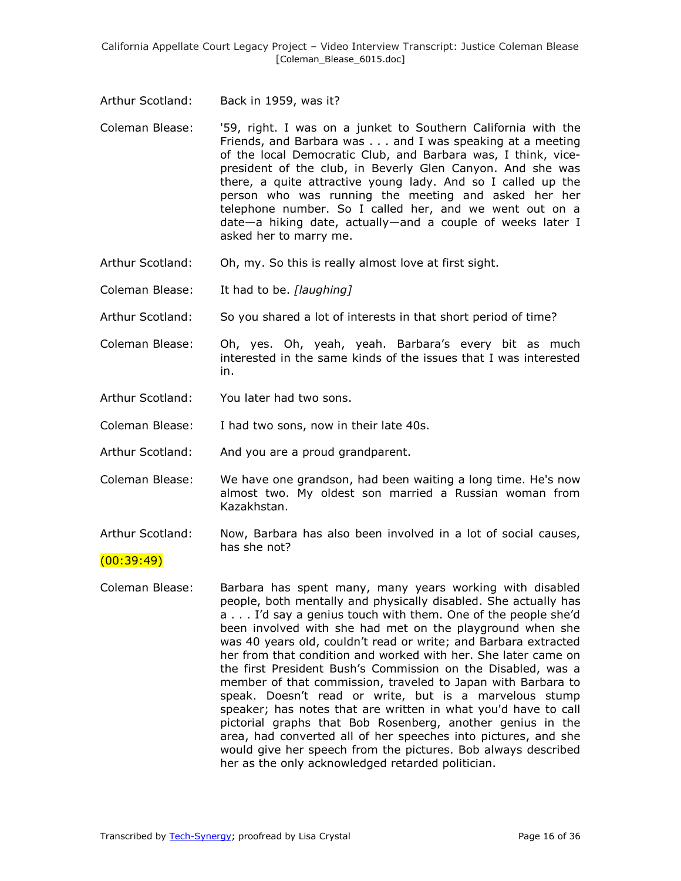- Arthur Scotland: Back in 1959, was it?
- Coleman Blease: '59, right. I was on a junket to Southern California with the Friends, and Barbara was . . . and I was speaking at a meeting of the local Democratic Club, and Barbara was, I think, vicepresident of the club, in Beverly Glen Canyon. And she was there, a quite attractive young lady. And so I called up the person who was running the meeting and asked her her telephone number. So I called her, and we went out on a date—a hiking date, actually—and a couple of weeks later I asked her to marry me.
- Arthur Scotland: Oh, my. So this is really almost love at first sight.
- Coleman Blease: It had to be. *[laughing]*
- Arthur Scotland: So you shared a lot of interests in that short period of time?
- Coleman Blease: Oh, yes. Oh, yeah, yeah. Barbara's every bit as much interested in the same kinds of the issues that I was interested in.
- Arthur Scotland: You later had two sons.
- Coleman Blease: I had two sons, now in their late 40s.
- Arthur Scotland: And you are a proud grandparent.
- Coleman Blease: We have one grandson, had been waiting a long time. He's now almost two. My oldest son married a Russian woman from Kazakhstan.
- Arthur Scotland: Now, Barbara has also been involved in a lot of social causes, has she not?

### $(00:39:49)$

Coleman Blease: Barbara has spent many, many years working with disabled people, both mentally and physically disabled. She actually has a . . . I'd say a genius touch with them. One of the people she'd been involved with she had met on the playground when she was 40 years old, couldn't read or write; and Barbara extracted her from that condition and worked with her. She later came on the first President Bush's Commission on the Disabled, was a member of that commission, traveled to Japan with Barbara to speak. Doesn't read or write, but is a marvelous stump speaker; has notes that are written in what you'd have to call pictorial graphs that Bob Rosenberg, another genius in the area, had converted all of her speeches into pictures, and she would give her speech from the pictures. Bob always described her as the only acknowledged retarded politician.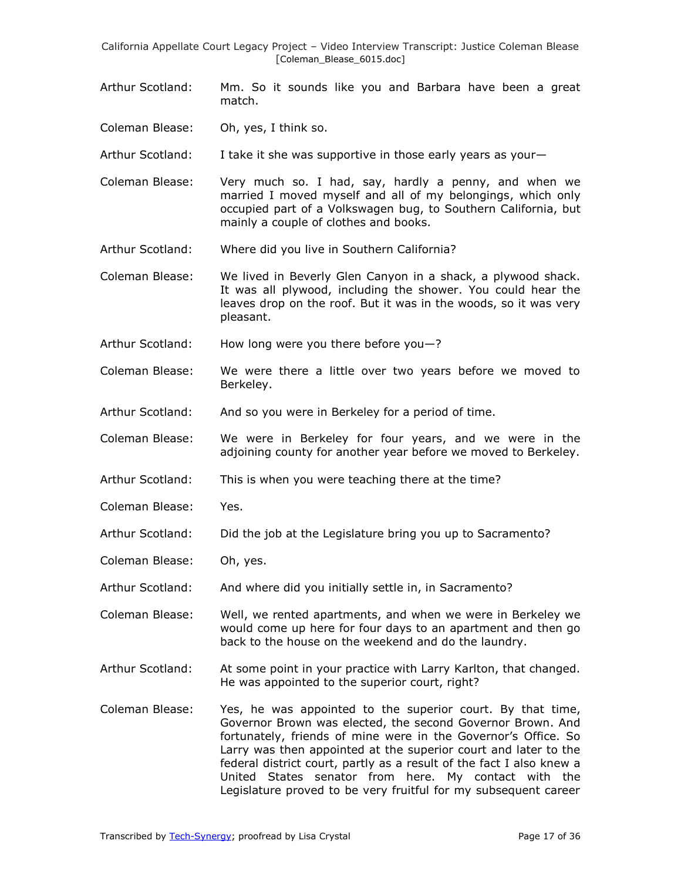- Arthur Scotland: Mm. So it sounds like you and Barbara have been a great match.
- Coleman Blease: Oh, yes, I think so.
- Arthur Scotland: I take it she was supportive in those early years as your—
- Coleman Blease: Very much so. I had, say, hardly a penny, and when we married I moved myself and all of my belongings, which only occupied part of a Volkswagen bug, to Southern California, but mainly a couple of clothes and books.
- Arthur Scotland: Where did you live in Southern California?
- Coleman Blease: We lived in Beverly Glen Canyon in a shack, a plywood shack. It was all plywood, including the shower. You could hear the leaves drop on the roof. But it was in the woods, so it was very pleasant.
- Arthur Scotland: How long were you there before you—?
- Coleman Blease: We were there a little over two years before we moved to Berkeley.
- Arthur Scotland: And so you were in Berkeley for a period of time.
- Coleman Blease: We were in Berkeley for four years, and we were in the adjoining county for another year before we moved to Berkeley.
- Arthur Scotland: This is when you were teaching there at the time?
- Coleman Blease: Yes.
- Arthur Scotland: Did the job at the Legislature bring you up to Sacramento?
- Coleman Blease: Oh, yes.
- Arthur Scotland: And where did you initially settle in, in Sacramento?
- Coleman Blease: Well, we rented apartments, and when we were in Berkeley we would come up here for four days to an apartment and then go back to the house on the weekend and do the laundry.
- Arthur Scotland: At some point in your practice with Larry Karlton, that changed. He was appointed to the superior court, right?
- Coleman Blease: Yes, he was appointed to the superior court. By that time, Governor Brown was elected, the second Governor Brown. And fortunately, friends of mine were in the Governor's Office. So Larry was then appointed at the superior court and later to the federal district court, partly as a result of the fact I also knew a United States senator from here. My contact with the Legislature proved to be very fruitful for my subsequent career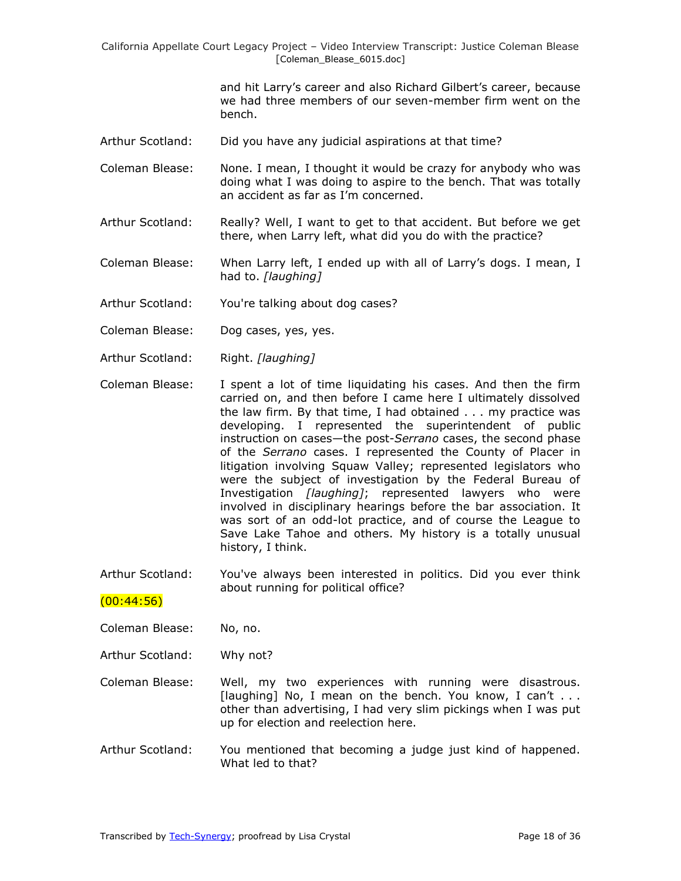> and hit Larry's career and also Richard Gilbert's career, because we had three members of our seven-member firm went on the bench.

Arthur Scotland: Did you have any judicial aspirations at that time?

Coleman Blease: None. I mean, I thought it would be crazy for anybody who was doing what I was doing to aspire to the bench. That was totally an accident as far as I'm concerned.

Arthur Scotland: Really? Well, I want to get to that accident. But before we get there, when Larry left, what did you do with the practice?

Coleman Blease: When Larry left, I ended up with all of Larry's dogs. I mean, I had to. *[laughing]*

- Arthur Scotland: You're talking about dog cases?
- Coleman Blease: Dog cases, yes, yes.
- Arthur Scotland: Right. *[laughing]*
- Coleman Blease: I spent a lot of time liquidating his cases. And then the firm carried on, and then before I came here I ultimately dissolved the law firm. By that time, I had obtained . . . my practice was developing. I represented the superintendent of public instruction on cases—the post-*Serrano* cases, the second phase of the *Serrano* cases. I represented the County of Placer in litigation involving Squaw Valley; represented legislators who were the subject of investigation by the Federal Bureau of Investigation *[laughing]*; represented lawyers who were involved in disciplinary hearings before the bar association. It was sort of an odd-lot practice, and of course the League to Save Lake Tahoe and others. My history is a totally unusual history, I think.

Arthur Scotland: You've always been interested in politics. Did you ever think about running for political office?

### $(00:44:56)$

- Coleman Blease: No, no.
- Arthur Scotland: Why not?

Coleman Blease: Well, my two experiences with running were disastrous. [laughing] No, I mean on the bench. You know, I can't . . . other than advertising, I had very slim pickings when I was put up for election and reelection here.

Arthur Scotland: You mentioned that becoming a judge just kind of happened. What led to that?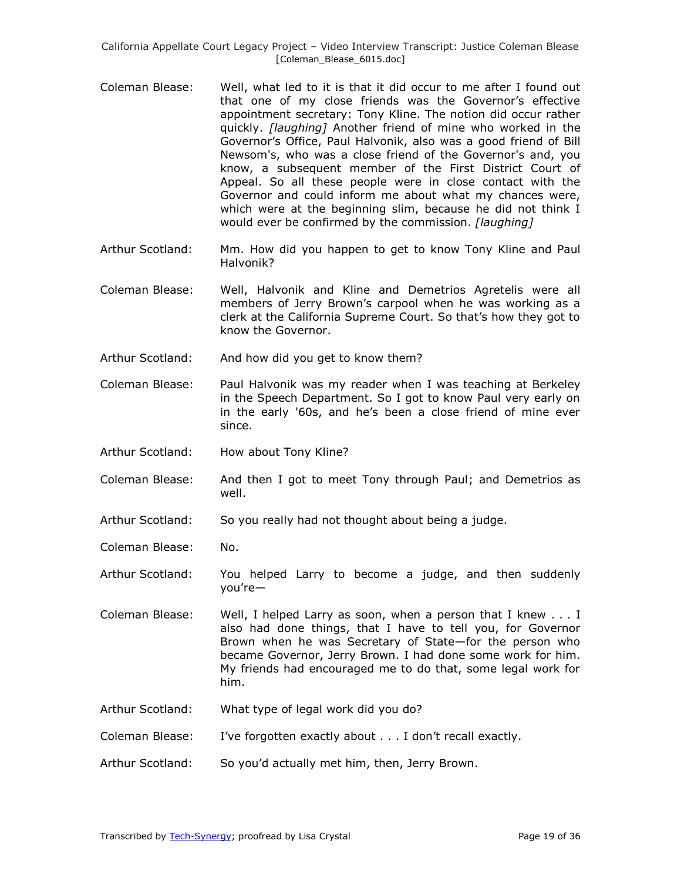- Coleman Blease: Well, what led to it is that it did occur to me after I found out that one of my close friends was the Governor's effective appointment secretary: Tony Kline. The notion did occur rather quickly. *[laughing]* Another friend of mine who worked in the Governor's Office, Paul Halvonik, also was a good friend of Bill Newsom's, who was a close friend of the Governor's and, you know, a subsequent member of the First District Court of Appeal. So all these people were in close contact with the Governor and could inform me about what my chances were, which were at the beginning slim, because he did not think I would ever be confirmed by the commission. *[laughing]*
- Arthur Scotland: Mm. How did you happen to get to know Tony Kline and Paul Halvonik?
- Coleman Blease: Well, Halvonik and Kline and Demetrios Agretelis were all members of Jerry Brown's carpool when he was working as a clerk at the California Supreme Court. So that's how they got to know the Governor.
- Arthur Scotland: And how did you get to know them?
- Coleman Blease: Paul Halvonik was my reader when I was teaching at Berkeley in the Speech Department. So I got to know Paul very early on in the early '60s, and he's been a close friend of mine ever since.
- Arthur Scotland: How about Tony Kline?
- Coleman Blease: And then I got to meet Tony through Paul; and Demetrios as well.
- Arthur Scotland: So you really had not thought about being a judge.
- Coleman Blease: No.
- Arthur Scotland: You helped Larry to become a judge, and then suddenly you're—
- Coleman Blease: Well, I helped Larry as soon, when a person that I knew . . . I also had done things, that I have to tell you, for Governor Brown when he was Secretary of State—for the person who became Governor, Jerry Brown. I had done some work for him. My friends had encouraged me to do that, some legal work for him.
- Arthur Scotland: What type of legal work did you do?
- Coleman Blease: I've forgotten exactly about . . . I don't recall exactly.
- Arthur Scotland: So you'd actually met him, then, Jerry Brown.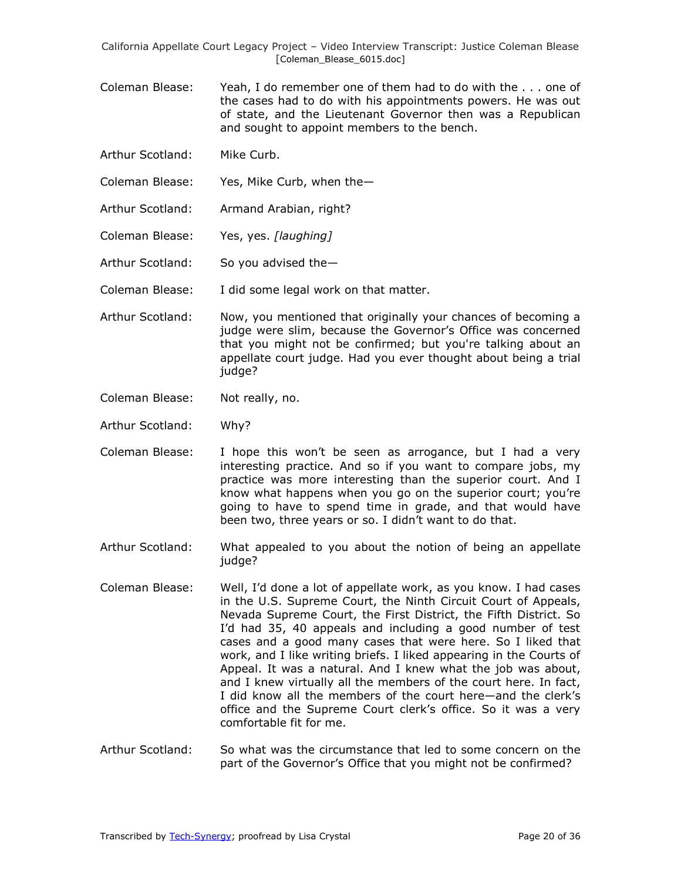- Coleman Blease: Yeah, I do remember one of them had to do with the . . . one of the cases had to do with his appointments powers. He was out of state, and the Lieutenant Governor then was a Republican and sought to appoint members to the bench.
- Arthur Scotland: Mike Curb.
- Coleman Blease: Yes, Mike Curb, when the—
- Arthur Scotland: Armand Arabian, right?
- Coleman Blease: Yes, yes. *[laughing]*
- Arthur Scotland: So you advised the—
- Coleman Blease: I did some legal work on that matter.
- Arthur Scotland: Now, you mentioned that originally your chances of becoming a judge were slim, because the Governor's Office was concerned that you might not be confirmed; but you're talking about an appellate court judge. Had you ever thought about being a trial judge?
- Coleman Blease: Not really, no.
- Arthur Scotland: Why?
- Coleman Blease: I hope this won't be seen as arrogance, but I had a very interesting practice. And so if you want to compare jobs, my practice was more interesting than the superior court. And I know what happens when you go on the superior court; you're going to have to spend time in grade, and that would have been two, three years or so. I didn't want to do that.
- Arthur Scotland: What appealed to you about the notion of being an appellate judge?
- Coleman Blease: Well, I'd done a lot of appellate work, as you know. I had cases in the U.S. Supreme Court, the Ninth Circuit Court of Appeals, Nevada Supreme Court, the First District, the Fifth District. So I'd had 35, 40 appeals and including a good number of test cases and a good many cases that were here. So I liked that work, and I like writing briefs. I liked appearing in the Courts of Appeal. It was a natural. And I knew what the job was about, and I knew virtually all the members of the court here. In fact, I did know all the members of the court here—and the clerk's office and the Supreme Court clerk's office. So it was a very comfortable fit for me.
- Arthur Scotland: So what was the circumstance that led to some concern on the part of the Governor's Office that you might not be confirmed?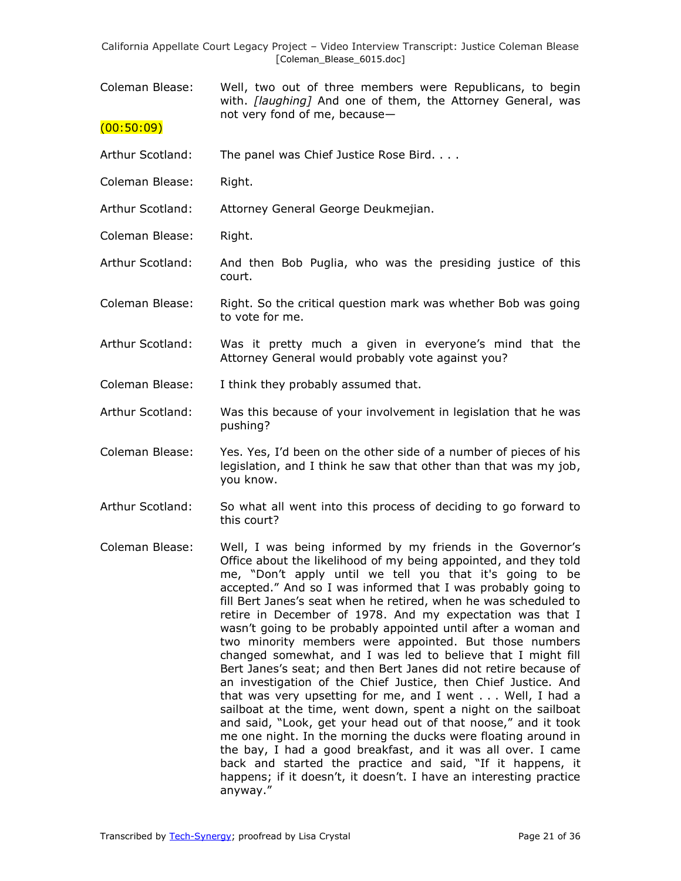Coleman Blease: Well, two out of three members were Republicans, to begin with. *[laughing]* And one of them, the Attorney General, was not very fond of me, because—

### $(00:50:09)$

- Arthur Scotland: The panel was Chief Justice Rose Bird. . . .
- Coleman Blease: Right.
- Arthur Scotland: Attorney General George Deukmejian.
- Coleman Blease: Right.
- Arthur Scotland: And then Bob Puglia, who was the presiding justice of this court.
- Coleman Blease: Right. So the critical question mark was whether Bob was going to vote for me.
- Arthur Scotland: Was it pretty much a given in everyone's mind that the Attorney General would probably vote against you?
- Coleman Blease: I think they probably assumed that.
- Arthur Scotland: Was this because of your involvement in legislation that he was pushing?
- Coleman Blease: Yes. Yes, I'd been on the other side of a number of pieces of his legislation, and I think he saw that other than that was my job, you know.
- Arthur Scotland: So what all went into this process of deciding to go forward to this court?
- Coleman Blease: Well, I was being informed by my friends in the Governor's Office about the likelihood of my being appointed, and they told me, "Don't apply until we tell you that it's going to be accepted." And so I was informed that I was probably going to fill Bert Janes's seat when he retired, when he was scheduled to retire in December of 1978. And my expectation was that I wasn't going to be probably appointed until after a woman and two minority members were appointed. But those numbers changed somewhat, and I was led to believe that I might fill Bert Janes's seat; and then Bert Janes did not retire because of an investigation of the Chief Justice, then Chief Justice. And that was very upsetting for me, and I went . . . Well, I had a sailboat at the time, went down, spent a night on the sailboat and said, "Look, get your head out of that noose," and it took me one night. In the morning the ducks were floating around in the bay, I had a good breakfast, and it was all over. I came back and started the practice and said, "If it happens, it happens; if it doesn't, it doesn't. I have an interesting practice anyway."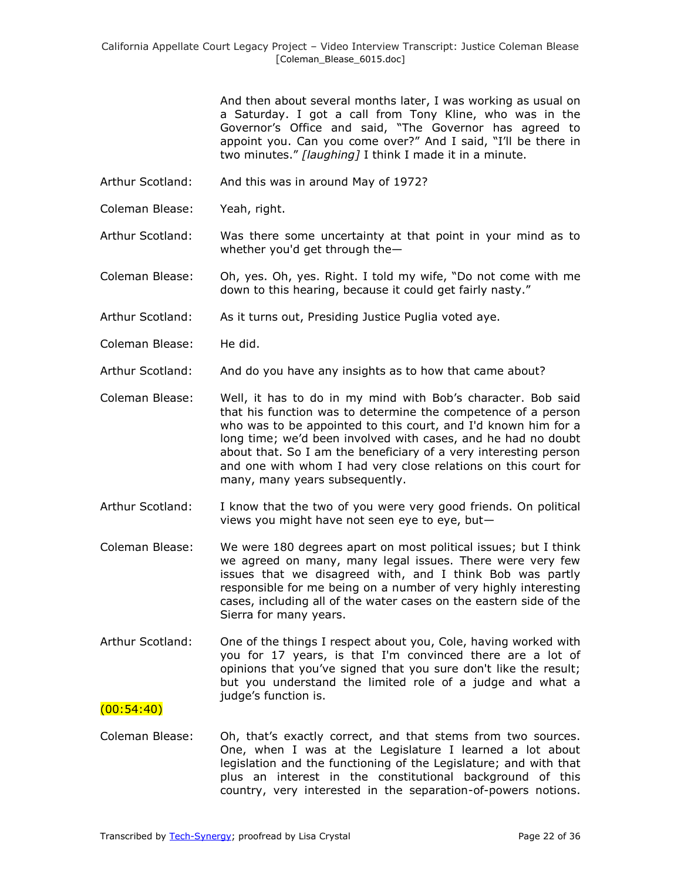And then about several months later, I was working as usual on a Saturday. I got a call from Tony Kline, who was in the Governor's Office and said, "The Governor has agreed to appoint you. Can you come over?" And I said, "I'll be there in two minutes.‖ *[laughing]* I think I made it in a minute.

- Arthur Scotland: And this was in around May of 1972?
- Coleman Blease: Yeah, right.
- Arthur Scotland: Was there some uncertainty at that point in your mind as to whether you'd get through the—
- Coleman Blease: Oh, yes. Oh, yes. Right. I told my wife, "Do not come with me down to this hearing, because it could get fairly nasty."
- Arthur Scotland: As it turns out, Presiding Justice Puglia voted aye.
- Coleman Blease: He did.
- Arthur Scotland: And do you have any insights as to how that came about?
- Coleman Blease: Well, it has to do in my mind with Bob's character. Bob said that his function was to determine the competence of a person who was to be appointed to this court, and I'd known him for a long time; we'd been involved with cases, and he had no doubt about that. So I am the beneficiary of a very interesting person and one with whom I had very close relations on this court for many, many years subsequently.
- Arthur Scotland: I know that the two of you were very good friends. On political views you might have not seen eye to eye, but—
- Coleman Blease: We were 180 degrees apart on most political issues; but I think we agreed on many, many legal issues. There were very few issues that we disagreed with, and I think Bob was partly responsible for me being on a number of very highly interesting cases, including all of the water cases on the eastern side of the Sierra for many years.
- Arthur Scotland: One of the things I respect about you, Cole, having worked with you for 17 years, is that I'm convinced there are a lot of opinions that you've signed that you sure don't like the result; but you understand the limited role of a judge and what a judge's function is.

# $(00:54:40)$

Coleman Blease: Oh, that's exactly correct, and that stems from two sources. One, when I was at the Legislature I learned a lot about legislation and the functioning of the Legislature; and with that plus an interest in the constitutional background of this country, very interested in the separation-of-powers notions.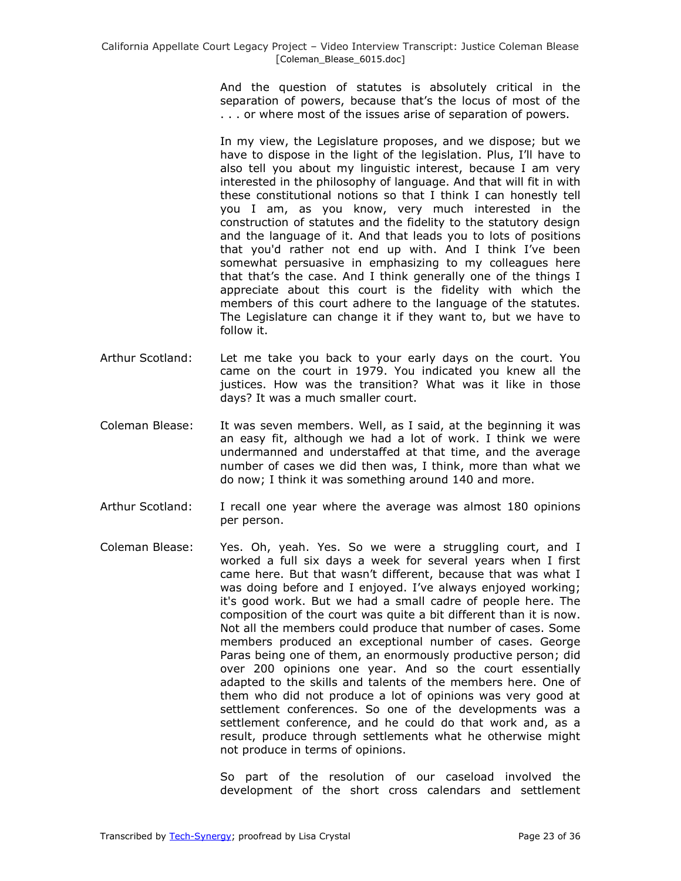And the question of statutes is absolutely critical in the separation of powers, because that's the locus of most of the . . . or where most of the issues arise of separation of powers.

In my view, the Legislature proposes, and we dispose; but we have to dispose in the light of the legislation. Plus, I'll have to also tell you about my linguistic interest, because I am very interested in the philosophy of language. And that will fit in with these constitutional notions so that I think I can honestly tell you I am, as you know, very much interested in the construction of statutes and the fidelity to the statutory design and the language of it. And that leads you to lots of positions that you'd rather not end up with. And I think I've been somewhat persuasive in emphasizing to my colleagues here that that's the case. And I think generally one of the things I appreciate about this court is the fidelity with which the members of this court adhere to the language of the statutes. The Legislature can change it if they want to, but we have to follow it.

- Arthur Scotland: Let me take you back to your early days on the court. You came on the court in 1979. You indicated you knew all the justices. How was the transition? What was it like in those days? It was a much smaller court.
- Coleman Blease: It was seven members. Well, as I said, at the beginning it was an easy fit, although we had a lot of work. I think we were undermanned and understaffed at that time, and the average number of cases we did then was, I think, more than what we do now; I think it was something around 140 and more.
- Arthur Scotland: I recall one year where the average was almost 180 opinions per person.
- Coleman Blease: Yes. Oh, yeah. Yes. So we were a struggling court, and I worked a full six days a week for several years when I first came here. But that wasn't different, because that was what I was doing before and I enjoyed. I've always enjoyed working; it's good work. But we had a small cadre of people here. The composition of the court was quite a bit different than it is now. Not all the members could produce that number of cases. Some members produced an exceptional number of cases. George Paras being one of them, an enormously productive person; did over 200 opinions one year. And so the court essentially adapted to the skills and talents of the members here. One of them who did not produce a lot of opinions was very good at settlement conferences. So one of the developments was a settlement conference, and he could do that work and, as a result, produce through settlements what he otherwise might not produce in terms of opinions.

So part of the resolution of our caseload involved the development of the short cross calendars and settlement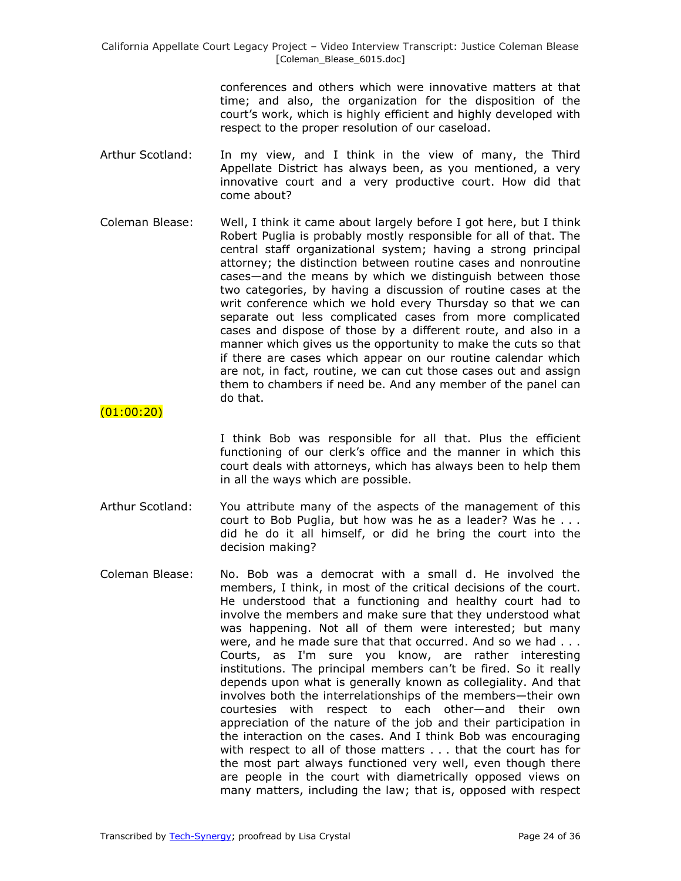> conferences and others which were innovative matters at that time; and also, the organization for the disposition of the court's work, which is highly efficient and highly developed with respect to the proper resolution of our caseload.

- Arthur Scotland: In my view, and I think in the view of many, the Third Appellate District has always been, as you mentioned, a very innovative court and a very productive court. How did that come about?
- Coleman Blease: Well, I think it came about largely before I got here, but I think Robert Puglia is probably mostly responsible for all of that. The central staff organizational system; having a strong principal attorney; the distinction between routine cases and nonroutine cases—and the means by which we distinguish between those two categories, by having a discussion of routine cases at the writ conference which we hold every Thursday so that we can separate out less complicated cases from more complicated cases and dispose of those by a different route, and also in a manner which gives us the opportunity to make the cuts so that if there are cases which appear on our routine calendar which are not, in fact, routine, we can cut those cases out and assign them to chambers if need be. And any member of the panel can do that.

(01:00:20)

I think Bob was responsible for all that. Plus the efficient functioning of our clerk's office and the manner in which this court deals with attorneys, which has always been to help them in all the ways which are possible.

- Arthur Scotland: You attribute many of the aspects of the management of this court to Bob Puglia, but how was he as a leader? Was he . . . did he do it all himself, or did he bring the court into the decision making?
- Coleman Blease: No. Bob was a democrat with a small d. He involved the members, I think, in most of the critical decisions of the court. He understood that a functioning and healthy court had to involve the members and make sure that they understood what was happening. Not all of them were interested; but many were, and he made sure that that occurred. And so we had . . . Courts, as I'm sure you know, are rather interesting institutions. The principal members can't be fired. So it really depends upon what is generally known as collegiality. And that involves both the interrelationships of the members—their own courtesies with respect to each other—and their own appreciation of the nature of the job and their participation in the interaction on the cases. And I think Bob was encouraging with respect to all of those matters . . . that the court has for the most part always functioned very well, even though there are people in the court with diametrically opposed views on many matters, including the law; that is, opposed with respect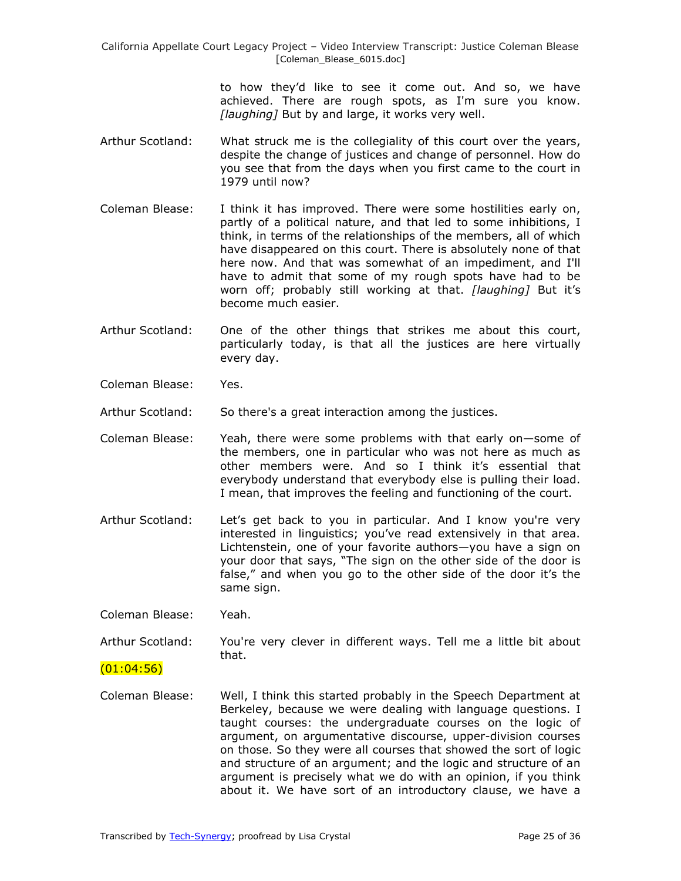> to how they'd like to see it come out. And so, we have achieved. There are rough spots, as I'm sure you know. *[laughing]* But by and large, it works very well.

- Arthur Scotland: What struck me is the collegiality of this court over the years, despite the change of justices and change of personnel. How do you see that from the days when you first came to the court in 1979 until now?
- Coleman Blease: I think it has improved. There were some hostilities early on, partly of a political nature, and that led to some inhibitions, I think, in terms of the relationships of the members, all of which have disappeared on this court. There is absolutely none of that here now. And that was somewhat of an impediment, and I'll have to admit that some of my rough spots have had to be worn off; probably still working at that. *[laughing]* But it's become much easier.
- Arthur Scotland: One of the other things that strikes me about this court, particularly today, is that all the justices are here virtually every day.
- Coleman Blease: Yes.

Arthur Scotland: So there's a great interaction among the justices.

- Coleman Blease: Yeah, there were some problems with that early on—some of the members, one in particular who was not here as much as other members were. And so I think it's essential that everybody understand that everybody else is pulling their load. I mean, that improves the feeling and functioning of the court.
- Arthur Scotland: Let's get back to you in particular. And I know you're very interested in linguistics; you've read extensively in that area. Lichtenstein, one of your favorite authors—you have a sign on your door that says, "The sign on the other side of the door is false," and when you go to the other side of the door it's the same sign.

Coleman Blease: Yeah.

Arthur Scotland: You're very clever in different ways. Tell me a little bit about that.

 $(01:04:56)$ 

Coleman Blease: Well, I think this started probably in the Speech Department at Berkeley, because we were dealing with language questions. I taught courses: the undergraduate courses on the logic of argument, on argumentative discourse, upper-division courses on those. So they were all courses that showed the sort of logic and structure of an argument; and the logic and structure of an argument is precisely what we do with an opinion, if you think about it. We have sort of an introductory clause, we have a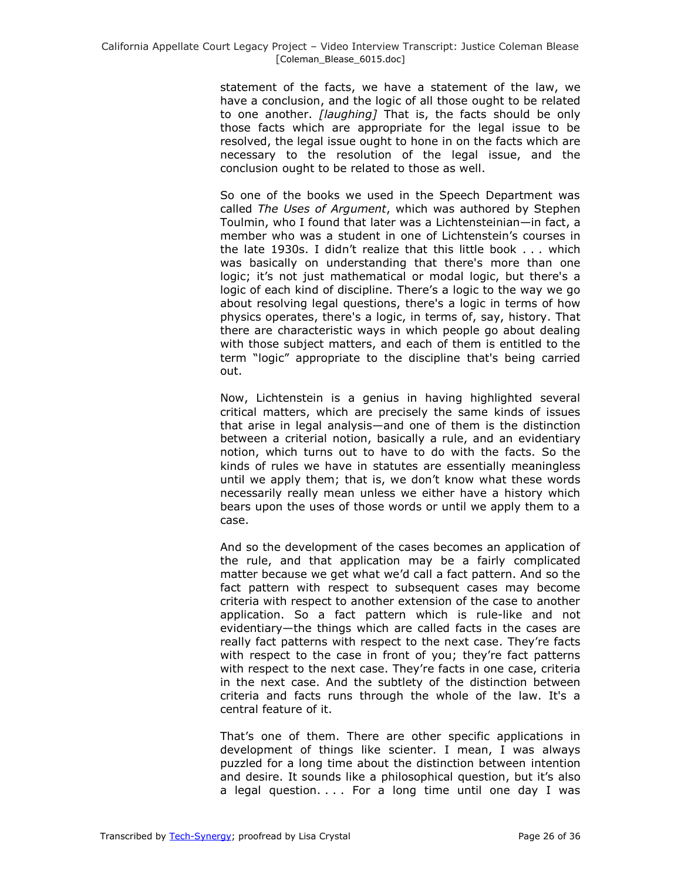statement of the facts, we have a statement of the law, we have a conclusion, and the logic of all those ought to be related to one another. *[laughing]* That is, the facts should be only those facts which are appropriate for the legal issue to be resolved, the legal issue ought to hone in on the facts which are necessary to the resolution of the legal issue, and the conclusion ought to be related to those as well.

So one of the books we used in the Speech Department was called *The Uses of Argument*, which was authored by Stephen Toulmin, who I found that later was a Lichtensteinian—in fact, a member who was a student in one of Lichtenstein's courses in the late 1930s. I didn't realize that this little book . . . which was basically on understanding that there's more than one logic; it's not just mathematical or modal logic, but there's a logic of each kind of discipline. There's a logic to the way we go about resolving legal questions, there's a logic in terms of how physics operates, there's a logic, in terms of, say, history. That there are characteristic ways in which people go about dealing with those subject matters, and each of them is entitled to the term "logic" appropriate to the discipline that's being carried out.

Now, Lichtenstein is a genius in having highlighted several critical matters, which are precisely the same kinds of issues that arise in legal analysis—and one of them is the distinction between a criterial notion, basically a rule, and an evidentiary notion, which turns out to have to do with the facts. So the kinds of rules we have in statutes are essentially meaningless until we apply them; that is, we don't know what these words necessarily really mean unless we either have a history which bears upon the uses of those words or until we apply them to a case.

And so the development of the cases becomes an application of the rule, and that application may be a fairly complicated matter because we get what we'd call a fact pattern. And so the fact pattern with respect to subsequent cases may become criteria with respect to another extension of the case to another application. So a fact pattern which is rule-like and not evidentiary—the things which are called facts in the cases are really fact patterns with respect to the next case. They're facts with respect to the case in front of you; they're fact patterns with respect to the next case. They're facts in one case, criteria in the next case. And the subtlety of the distinction between criteria and facts runs through the whole of the law. It's a central feature of it.

That's one of them. There are other specific applications in development of things like scienter. I mean, I was always puzzled for a long time about the distinction between intention and desire. It sounds like a philosophical question, but it's also a legal question. . . . For a long time until one day I was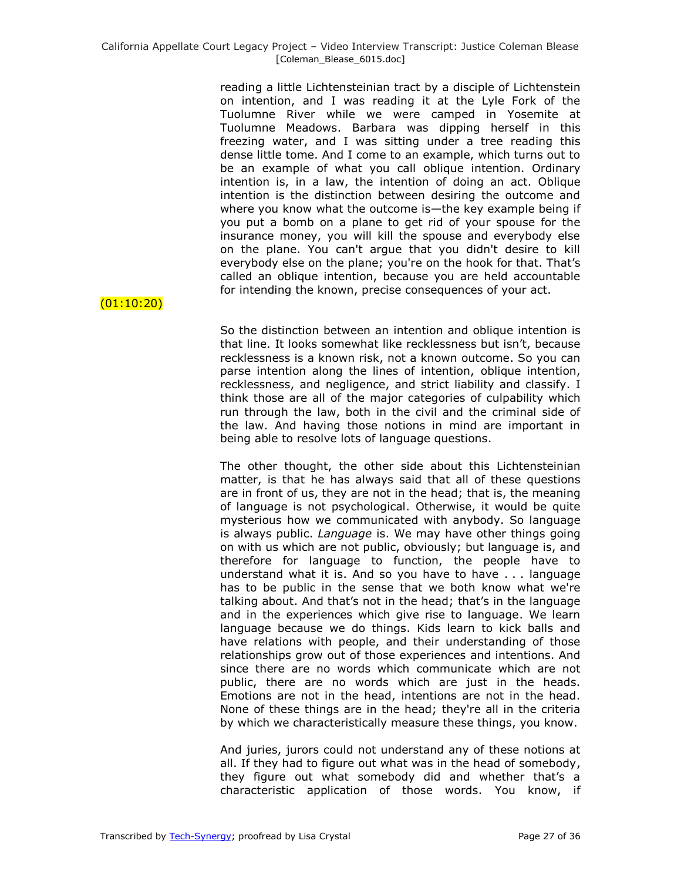reading a little Lichtensteinian tract by a disciple of Lichtenstein on intention, and I was reading it at the Lyle Fork of the Tuolumne River while we were camped in Yosemite at Tuolumne Meadows. Barbara was dipping herself in this freezing water, and I was sitting under a tree reading this dense little tome. And I come to an example, which turns out to be an example of what you call oblique intention. Ordinary intention is, in a law, the intention of doing an act. Oblique intention is the distinction between desiring the outcome and where you know what the outcome is—the key example being if you put a bomb on a plane to get rid of your spouse for the insurance money, you will kill the spouse and everybody else on the plane. You can't argue that you didn't desire to kill everybody else on the plane; you're on the hook for that. That's called an oblique intention, because you are held accountable for intending the known, precise consequences of your act.

(01:10:20)

So the distinction between an intention and oblique intention is that line. It looks somewhat like recklessness but isn't, because recklessness is a known risk, not a known outcome. So you can parse intention along the lines of intention, oblique intention, recklessness, and negligence, and strict liability and classify. I think those are all of the major categories of culpability which run through the law, both in the civil and the criminal side of the law. And having those notions in mind are important in being able to resolve lots of language questions.

The other thought, the other side about this Lichtensteinian matter, is that he has always said that all of these questions are in front of us, they are not in the head; that is, the meaning of language is not psychological. Otherwise, it would be quite mysterious how we communicated with anybody. So language is always public. *Language* is. We may have other things going on with us which are not public, obviously; but language is, and therefore for language to function, the people have to understand what it is. And so you have to have . . . language has to be public in the sense that we both know what we're talking about. And that's not in the head; that's in the language and in the experiences which give rise to language. We learn language because we do things. Kids learn to kick balls and have relations with people, and their understanding of those relationships grow out of those experiences and intentions. And since there are no words which communicate which are not public, there are no words which are just in the heads. Emotions are not in the head, intentions are not in the head. None of these things are in the head; they're all in the criteria by which we characteristically measure these things, you know.

And juries, jurors could not understand any of these notions at all. If they had to figure out what was in the head of somebody, they figure out what somebody did and whether that's a characteristic application of those words. You know, if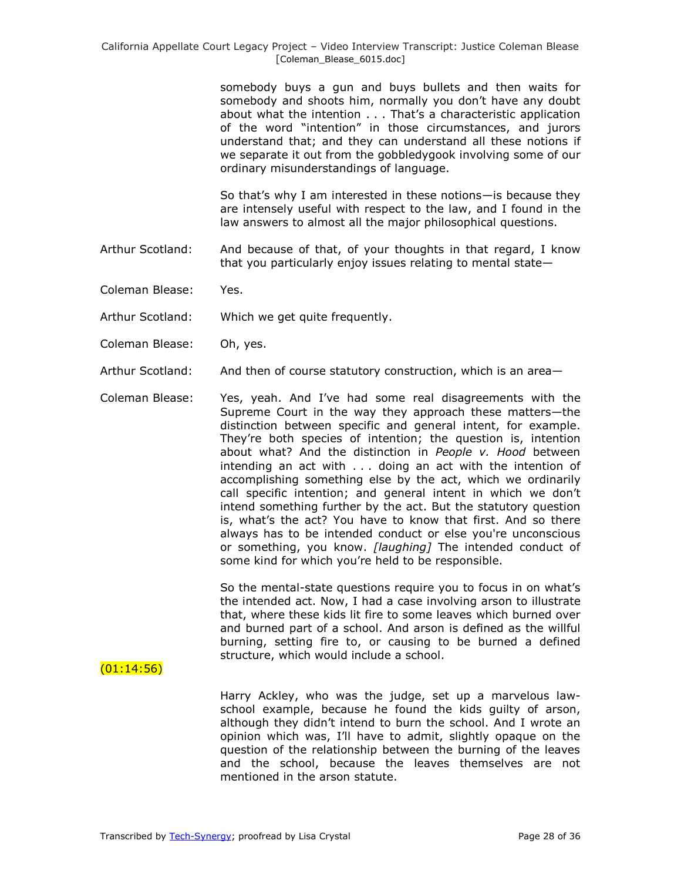somebody buys a gun and buys bullets and then waits for somebody and shoots him, normally you don't have any doubt about what the intention . . . That's a characteristic application of the word "intention" in those circumstances, and jurors understand that; and they can understand all these notions if we separate it out from the gobbledygook involving some of our ordinary misunderstandings of language.

So that's why I am interested in these notions—is because they are intensely useful with respect to the law, and I found in the law answers to almost all the major philosophical questions.

- Arthur Scotland: And because of that, of your thoughts in that regard, I know that you particularly enjoy issues relating to mental state—
- Coleman Blease: Yes.
- Arthur Scotland: Which we get quite frequently.
- Coleman Blease: Oh, yes.
- Arthur Scotland: And then of course statutory construction, which is an area—
- Coleman Blease: Yes, yeah. And I've had some real disagreements with the Supreme Court in the way they approach these matters—the distinction between specific and general intent, for example. They're both species of intention; the question is, intention about what? And the distinction in *People v. Hood* between intending an act with . . . doing an act with the intention of accomplishing something else by the act, which we ordinarily call specific intention; and general intent in which we don't intend something further by the act. But the statutory question is, what's the act? You have to know that first. And so there always has to be intended conduct or else you're unconscious or something, you know. *[laughing]* The intended conduct of some kind for which you're held to be responsible.

So the mental-state questions require you to focus in on what's the intended act. Now, I had a case involving arson to illustrate that, where these kids lit fire to some leaves which burned over and burned part of a school. And arson is defined as the willful burning, setting fire to, or causing to be burned a defined structure, which would include a school.

 $(01:14:56)$ 

Harry Ackley, who was the judge, set up a marvelous lawschool example, because he found the kids guilty of arson, although they didn't intend to burn the school. And I wrote an opinion which was, I'll have to admit, slightly opaque on the question of the relationship between the burning of the leaves and the school, because the leaves themselves are not mentioned in the arson statute.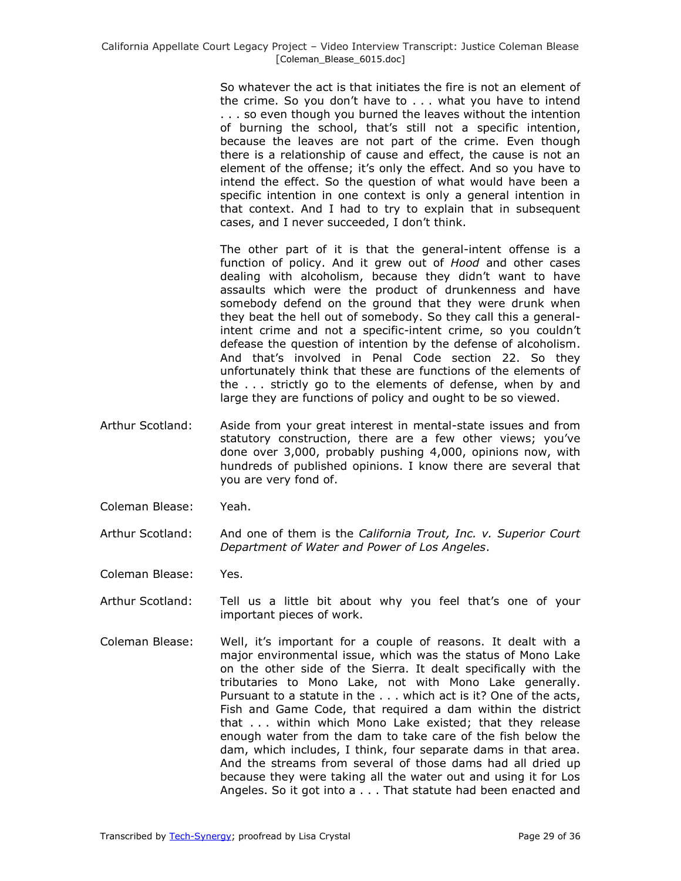So whatever the act is that initiates the fire is not an element of the crime. So you don't have to . . . what you have to intend . . . so even though you burned the leaves without the intention of burning the school, that's still not a specific intention, because the leaves are not part of the crime. Even though there is a relationship of cause and effect, the cause is not an element of the offense; it's only the effect. And so you have to intend the effect. So the question of what would have been a specific intention in one context is only a general intention in that context. And I had to try to explain that in subsequent cases, and I never succeeded, I don't think.

The other part of it is that the general-intent offense is a function of policy. And it grew out of *Hood* and other cases dealing with alcoholism, because they didn't want to have assaults which were the product of drunkenness and have somebody defend on the ground that they were drunk when they beat the hell out of somebody. So they call this a generalintent crime and not a specific-intent crime, so you couldn't defease the question of intention by the defense of alcoholism. And that's involved in Penal Code section 22. So they unfortunately think that these are functions of the elements of the . . . strictly go to the elements of defense, when by and large they are functions of policy and ought to be so viewed.

- Arthur Scotland: Aside from your great interest in mental-state issues and from statutory construction, there are a few other views; you've done over 3,000, probably pushing 4,000, opinions now, with hundreds of published opinions. I know there are several that you are very fond of.
- Coleman Blease: Yeah.
- Arthur Scotland: And one of them is the *California Trout, Inc. v. Superior Court Department of Water and Power of Los Angeles*.

Coleman Blease: Yes.

- Arthur Scotland: Tell us a little bit about why you feel that's one of your important pieces of work.
- Coleman Blease: Well, it's important for a couple of reasons. It dealt with a major environmental issue, which was the status of Mono Lake on the other side of the Sierra. It dealt specifically with the tributaries to Mono Lake, not with Mono Lake generally. Pursuant to a statute in the . . . which act is it? One of the acts, Fish and Game Code, that required a dam within the district that . . . within which Mono Lake existed; that they release enough water from the dam to take care of the fish below the dam, which includes, I think, four separate dams in that area. And the streams from several of those dams had all dried up because they were taking all the water out and using it for Los Angeles. So it got into a . . . That statute had been enacted and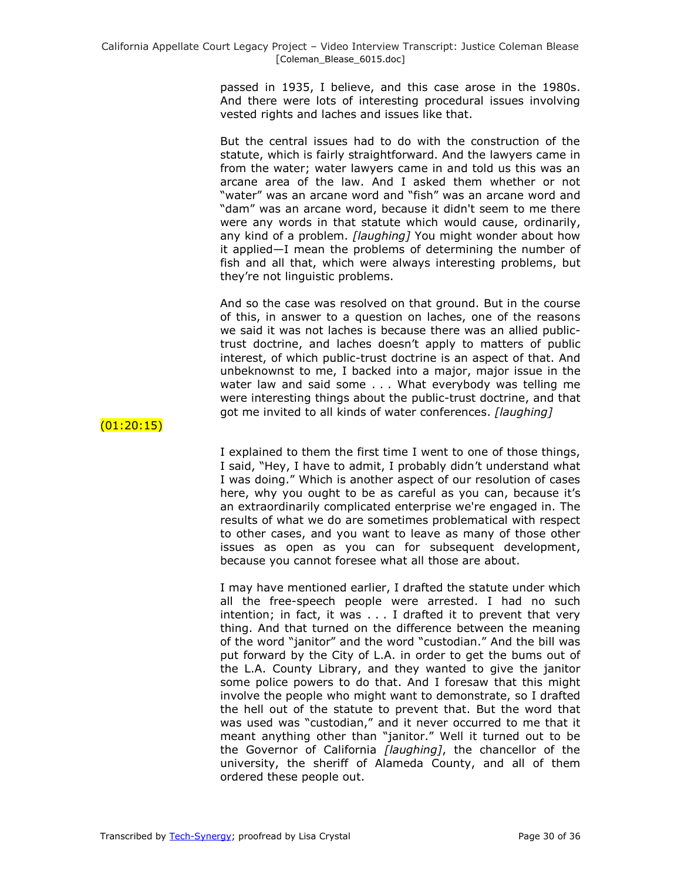passed in 1935, I believe, and this case arose in the 1980s. And there were lots of interesting procedural issues involving vested rights and laches and issues like that.

But the central issues had to do with the construction of the statute, which is fairly straightforward. And the lawyers came in from the water; water lawyers came in and told us this was an arcane area of the law. And I asked them whether or not "water" was an arcane word and "fish" was an arcane word and "dam" was an arcane word, because it didn't seem to me there were any words in that statute which would cause, ordinarily, any kind of a problem. *[laughing]* You might wonder about how it applied—I mean the problems of determining the number of fish and all that, which were always interesting problems, but they're not linguistic problems.

And so the case was resolved on that ground. But in the course of this, in answer to a question on laches, one of the reasons we said it was not laches is because there was an allied publictrust doctrine, and laches doesn't apply to matters of public interest, of which public-trust doctrine is an aspect of that. And unbeknownst to me, I backed into a major, major issue in the water law and said some . . . What everybody was telling me were interesting things about the public-trust doctrine, and that got me invited to all kinds of water conferences. *[laughing]*

 $(01:20:15)$ 

I explained to them the first time I went to one of those things, I said, "Hey, I have to admit, I probably didn't understand what I was doing." Which is another aspect of our resolution of cases here, why you ought to be as careful as you can, because it's an extraordinarily complicated enterprise we're engaged in. The results of what we do are sometimes problematical with respect to other cases, and you want to leave as many of those other issues as open as you can for subsequent development, because you cannot foresee what all those are about.

I may have mentioned earlier, I drafted the statute under which all the free-speech people were arrested. I had no such intention; in fact, it was . . . I drafted it to prevent that very thing. And that turned on the difference between the meaning of the word "janitor" and the word "custodian." And the bill was put forward by the City of L.A. in order to get the bums out of the L.A. County Library, and they wanted to give the janitor some police powers to do that. And I foresaw that this might involve the people who might want to demonstrate, so I drafted the hell out of the statute to prevent that. But the word that was used was "custodian," and it never occurred to me that it meant anything other than "janitor." Well it turned out to be the Governor of California *[laughing]*, the chancellor of the university, the sheriff of Alameda County, and all of them ordered these people out.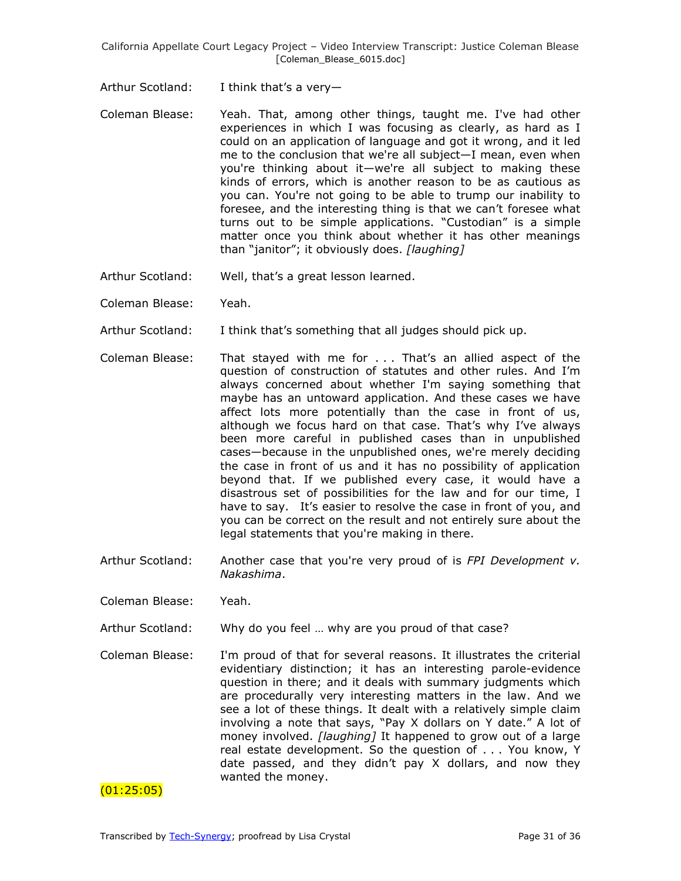- Arthur Scotland: I think that's a very—
- Coleman Blease: Yeah. That, among other things, taught me. I've had other experiences in which I was focusing as clearly, as hard as I could on an application of language and got it wrong, and it led me to the conclusion that we're all subject—I mean, even when you're thinking about it—we're all subject to making these kinds of errors, which is another reason to be as cautious as you can. You're not going to be able to trump our inability to foresee, and the interesting thing is that we can't foresee what turns out to be simple applications. "Custodian" is a simple matter once you think about whether it has other meanings than ―janitor‖; it obviously does. *[laughing]*
- Arthur Scotland: Well, that's a great lesson learned.
- Coleman Blease: Yeah.
- Arthur Scotland: I think that's something that all judges should pick up.
- Coleman Blease: That stayed with me for . . . That's an allied aspect of the question of construction of statutes and other rules. And I'm always concerned about whether I'm saying something that maybe has an untoward application. And these cases we have affect lots more potentially than the case in front of us, although we focus hard on that case. That's why I've always been more careful in published cases than in unpublished cases—because in the unpublished ones, we're merely deciding the case in front of us and it has no possibility of application beyond that. If we published every case, it would have a disastrous set of possibilities for the law and for our time, I have to say. It's easier to resolve the case in front of you, and you can be correct on the result and not entirely sure about the legal statements that you're making in there.
- Arthur Scotland: Another case that you're very proud of is *FPI Development v. Nakashima*.
- Coleman Blease: Yeah.
- Arthur Scotland: Why do you feel … why are you proud of that case?
- Coleman Blease: I'm proud of that for several reasons. It illustrates the criterial evidentiary distinction; it has an interesting parole-evidence question in there; and it deals with summary judgments which are procedurally very interesting matters in the law. And we see a lot of these things. It dealt with a relatively simple claim involving a note that says, "Pay X dollars on Y date." A lot of money involved. *[laughing]* It happened to grow out of a large real estate development. So the question of . . . You know, Y date passed, and they didn't pay X dollars, and now they wanted the money.

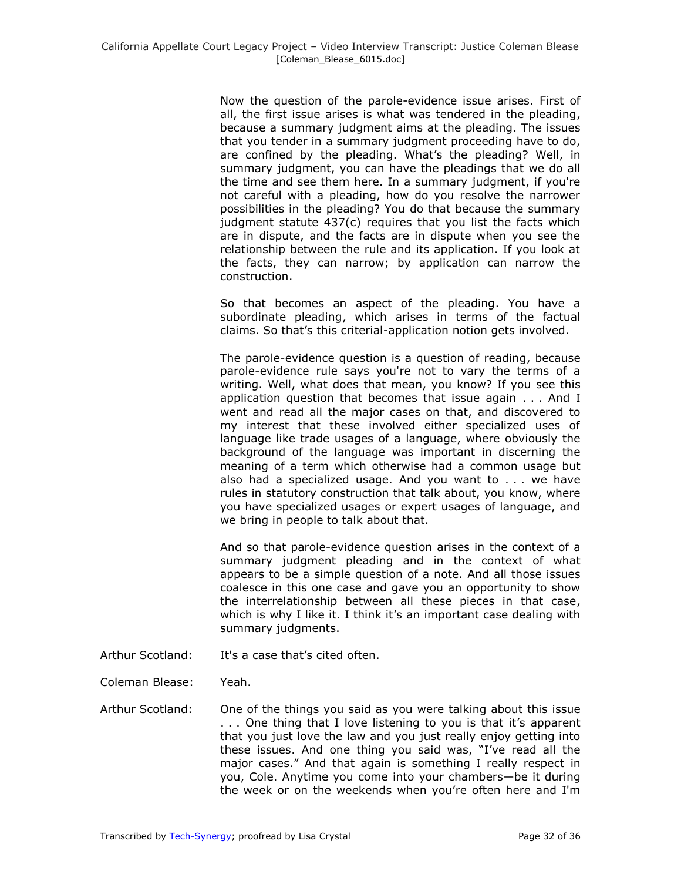Now the question of the parole-evidence issue arises. First of all, the first issue arises is what was tendered in the pleading, because a summary judgment aims at the pleading. The issues that you tender in a summary judgment proceeding have to do, are confined by the pleading. What's the pleading? Well, in summary judgment, you can have the pleadings that we do all the time and see them here. In a summary judgment, if you're not careful with a pleading, how do you resolve the narrower possibilities in the pleading? You do that because the summary judgment statute 437(c) requires that you list the facts which are in dispute, and the facts are in dispute when you see the relationship between the rule and its application. If you look at the facts, they can narrow; by application can narrow the construction.

So that becomes an aspect of the pleading. You have a subordinate pleading, which arises in terms of the factual claims. So that's this criterial-application notion gets involved.

The parole-evidence question is a question of reading, because parole-evidence rule says you're not to vary the terms of a writing. Well, what does that mean, you know? If you see this application question that becomes that issue again . . . And I went and read all the major cases on that, and discovered to my interest that these involved either specialized uses of language like trade usages of a language, where obviously the background of the language was important in discerning the meaning of a term which otherwise had a common usage but also had a specialized usage. And you want to . . . we have rules in statutory construction that talk about, you know, where you have specialized usages or expert usages of language, and we bring in people to talk about that.

And so that parole-evidence question arises in the context of a summary judgment pleading and in the context of what appears to be a simple question of a note. And all those issues coalesce in this one case and gave you an opportunity to show the interrelationship between all these pieces in that case, which is why I like it. I think it's an important case dealing with summary judgments.

- Arthur Scotland: It's a case that's cited often.
- Coleman Blease: Yeah.
- Arthur Scotland: One of the things you said as you were talking about this issue . . . One thing that I love listening to you is that it's apparent that you just love the law and you just really enjoy getting into these issues. And one thing you said was, "I've read all the major cases." And that again is something I really respect in you, Cole. Anytime you come into your chambers—be it during the week or on the weekends when you're often here and I'm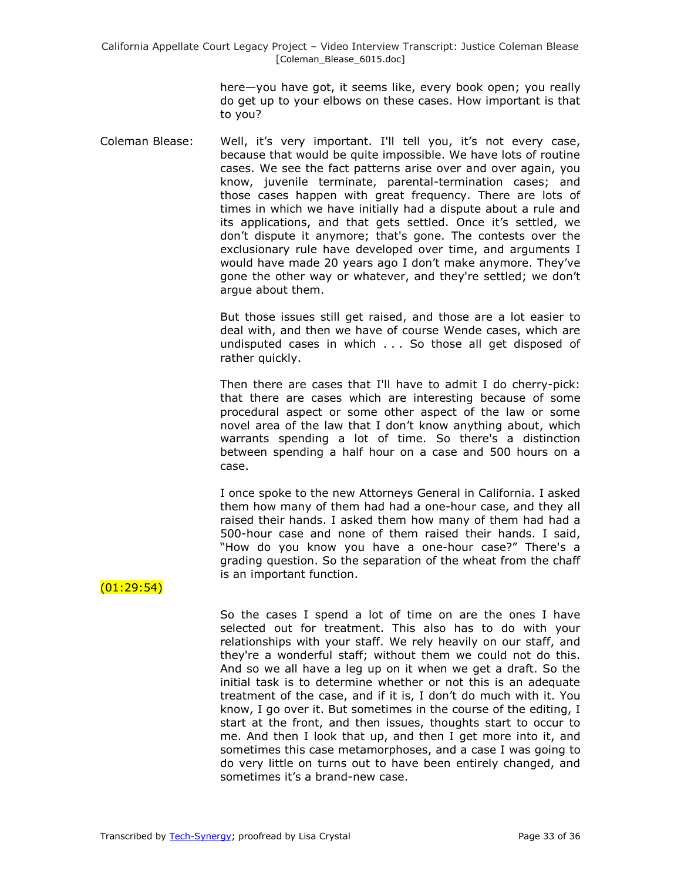> here—you have got, it seems like, every book open; you really do get up to your elbows on these cases. How important is that to you?

Coleman Blease: Well, it's very important. I'll tell you, it's not every case, because that would be quite impossible. We have lots of routine cases. We see the fact patterns arise over and over again, you know, juvenile terminate, parental-termination cases; and those cases happen with great frequency. There are lots of times in which we have initially had a dispute about a rule and its applications, and that gets settled. Once it's settled, we don't dispute it anymore; that's gone. The contests over the exclusionary rule have developed over time, and arguments I would have made 20 years ago I don't make anymore. They've gone the other way or whatever, and they're settled; we don't argue about them.

> But those issues still get raised, and those are a lot easier to deal with, and then we have of course Wende cases, which are undisputed cases in which . . . So those all get disposed of rather quickly.

> Then there are cases that I'll have to admit I do cherry-pick: that there are cases which are interesting because of some procedural aspect or some other aspect of the law or some novel area of the law that I don't know anything about, which warrants spending a lot of time. So there's a distinction between spending a half hour on a case and 500 hours on a case.

> I once spoke to the new Attorneys General in California. I asked them how many of them had had a one-hour case, and they all raised their hands. I asked them how many of them had had a 500-hour case and none of them raised their hands. I said, "How do you know you have a one-hour case?" There's a grading question. So the separation of the wheat from the chaff is an important function.

# $(01:29:54)$

So the cases I spend a lot of time on are the ones I have selected out for treatment. This also has to do with your relationships with your staff. We rely heavily on our staff, and they're a wonderful staff; without them we could not do this. And so we all have a leg up on it when we get a draft. So the initial task is to determine whether or not this is an adequate treatment of the case, and if it is, I don't do much with it. You know, I go over it. But sometimes in the course of the editing, I start at the front, and then issues, thoughts start to occur to me. And then I look that up, and then I get more into it, and sometimes this case metamorphoses, and a case I was going to do very little on turns out to have been entirely changed, and sometimes it's a brand-new case.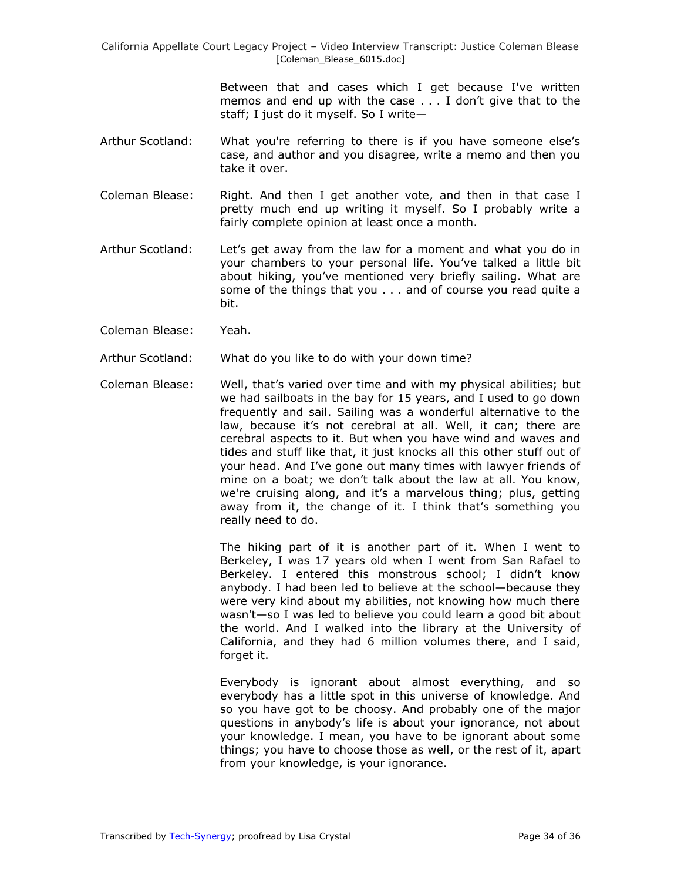> Between that and cases which I get because I've written memos and end up with the case . . . I don't give that to the staff; I just do it myself. So I write—

- Arthur Scotland: What you're referring to there is if you have someone else's case, and author and you disagree, write a memo and then you take it over.
- Coleman Blease: Right. And then I get another vote, and then in that case I pretty much end up writing it myself. So I probably write a fairly complete opinion at least once a month.
- Arthur Scotland: Let's get away from the law for a moment and what you do in your chambers to your personal life. You've talked a little bit about hiking, you've mentioned very briefly sailing. What are some of the things that you . . . and of course you read quite a bit.
- Coleman Blease: Yeah.

Arthur Scotland: What do you like to do with your down time?

Coleman Blease: Well, that's varied over time and with my physical abilities; but we had sailboats in the bay for 15 years, and I used to go down frequently and sail. Sailing was a wonderful alternative to the law, because it's not cerebral at all. Well, it can; there are cerebral aspects to it. But when you have wind and waves and tides and stuff like that, it just knocks all this other stuff out of your head. And I've gone out many times with lawyer friends of mine on a boat; we don't talk about the law at all. You know, we're cruising along, and it's a marvelous thing; plus, getting away from it, the change of it. I think that's something you really need to do.

> The hiking part of it is another part of it. When I went to Berkeley, I was 17 years old when I went from San Rafael to Berkeley. I entered this monstrous school; I didn't know anybody. I had been led to believe at the school—because they were very kind about my abilities, not knowing how much there wasn't—so I was led to believe you could learn a good bit about the world. And I walked into the library at the University of California, and they had 6 million volumes there, and I said, forget it.

> Everybody is ignorant about almost everything, and so everybody has a little spot in this universe of knowledge. And so you have got to be choosy. And probably one of the major questions in anybody's life is about your ignorance, not about your knowledge. I mean, you have to be ignorant about some things; you have to choose those as well, or the rest of it, apart from your knowledge, is your ignorance.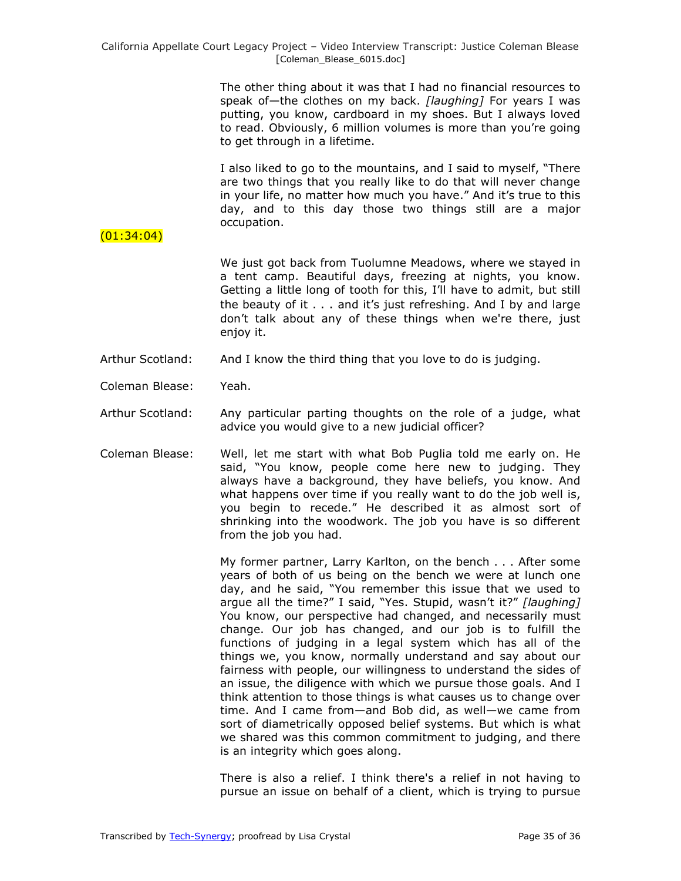The other thing about it was that I had no financial resources to speak of—the clothes on my back. *[laughing]* For years I was putting, you know, cardboard in my shoes. But I always loved to read. Obviously, 6 million volumes is more than you're going to get through in a lifetime.

I also liked to go to the mountains, and I said to myself, "There are two things that you really like to do that will never change in your life, no matter how much you have." And it's true to this day, and to this day those two things still are a major occupation.

# (01:34:04)

We just got back from Tuolumne Meadows, where we stayed in a tent camp. Beautiful days, freezing at nights, you know. Getting a little long of tooth for this, I'll have to admit, but still the beauty of it . . . and it's just refreshing. And I by and large don't talk about any of these things when we're there, just enjoy it.

- Arthur Scotland: And I know the third thing that you love to do is judging.
- Coleman Blease: Yeah.
- Arthur Scotland: Any particular parting thoughts on the role of a judge, what advice you would give to a new judicial officer?
- Coleman Blease: Well, let me start with what Bob Puglia told me early on. He said, "You know, people come here new to judging. They always have a background, they have beliefs, you know. And what happens over time if you really want to do the job well is, you begin to recede." He described it as almost sort of shrinking into the woodwork. The job you have is so different from the job you had.

My former partner, Larry Karlton, on the bench . . . After some years of both of us being on the bench we were at lunch one day, and he said, "You remember this issue that we used to arque all the time?" I said, "Yes. Stupid, wasn't it?" [laughing] You know, our perspective had changed, and necessarily must change. Our job has changed, and our job is to fulfill the functions of judging in a legal system which has all of the things we, you know, normally understand and say about our fairness with people, our willingness to understand the sides of an issue, the diligence with which we pursue those goals. And I think attention to those things is what causes us to change over time. And I came from—and Bob did, as well—we came from sort of diametrically opposed belief systems. But which is what we shared was this common commitment to judging, and there is an integrity which goes along.

There is also a relief. I think there's a relief in not having to pursue an issue on behalf of a client, which is trying to pursue